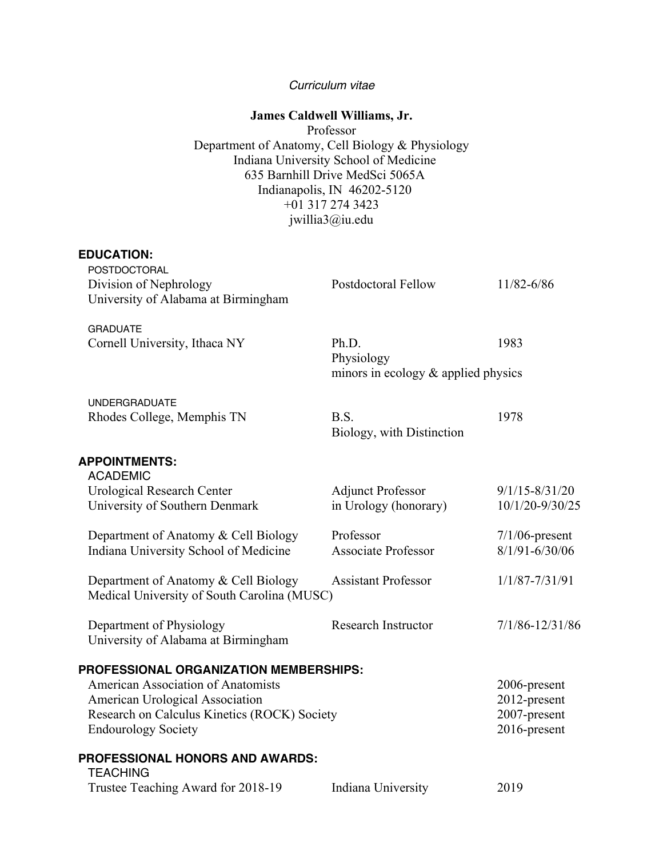### *Curriculum vitae*

## **James Caldwell Williams, Jr.**

Professor Department of Anatomy, Cell Biology & Physiology Indiana University School of Medicine 635 Barnhill Drive MedSci 5065A Indianapolis, IN 46202-5120 +01 317 274 3423 jwillia3@iu.edu

#### **EDUCATION:**

| POSTDOCTORAL<br>Division of Nephrology<br>University of Alabama at Birmingham                                                                                                                 | <b>Postdoctoral Fellow</b>                                 | 11/82-6/86                                                   |
|-----------------------------------------------------------------------------------------------------------------------------------------------------------------------------------------------|------------------------------------------------------------|--------------------------------------------------------------|
| <b>GRADUATE</b><br>Cornell University, Ithaca NY                                                                                                                                              | Ph.D.<br>Physiology<br>minors in ecology & applied physics | 1983                                                         |
| <b>UNDERGRADUATE</b><br>Rhodes College, Memphis TN                                                                                                                                            | B.S.<br>Biology, with Distinction                          | 1978                                                         |
| <b>APPOINTMENTS:</b>                                                                                                                                                                          |                                                            |                                                              |
| <b>ACADEMIC</b><br><b>Urological Research Center</b><br>University of Southern Denmark                                                                                                        | <b>Adjunct Professor</b><br>in Urology (honorary)          | $9/1/15 - 8/31/20$<br>10/1/20-9/30/25                        |
| Department of Anatomy & Cell Biology<br>Indiana University School of Medicine                                                                                                                 | Professor<br><b>Associate Professor</b>                    | $7/1/06$ -present<br>$8/1/91 - 6/30/06$                      |
| Department of Anatomy & Cell Biology<br>Medical University of South Carolina (MUSC)                                                                                                           | <b>Assistant Professor</b>                                 | $1/1/87 - 7/31/91$                                           |
| Department of Physiology<br>University of Alabama at Birmingham                                                                                                                               | <b>Research Instructor</b>                                 | 7/1/86-12/31/86                                              |
| PROFESSIONAL ORGANIZATION MEMBERSHIPS:<br>American Association of Anatomists<br>American Urological Association<br>Research on Calculus Kinetics (ROCK) Society<br><b>Endourology Society</b> |                                                            | 2006-present<br>2012-present<br>2007-present<br>2016-present |
| <b>PROFESSIONAL HONORS AND AWARDS:</b><br><b>TEACHING</b>                                                                                                                                     |                                                            |                                                              |
| Trustee Teaching Award for 2018-19                                                                                                                                                            | Indiana University                                         | 2019                                                         |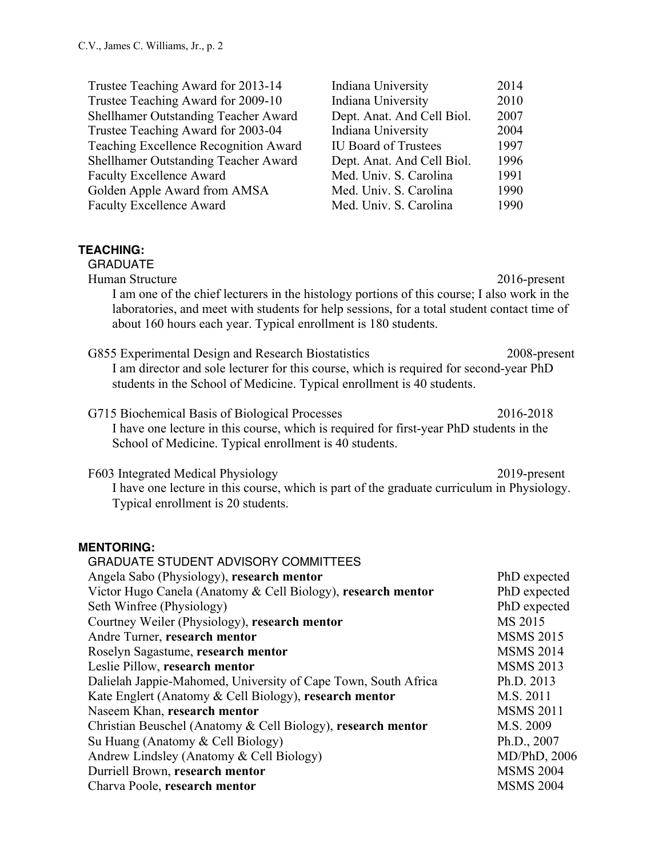| Trustee Teaching Award for 2013-14<br>Trustee Teaching Award for 2009-10<br>Shellhamer Outstanding Teacher Award<br>Trustee Teaching Award for 2003-04<br>Teaching Excellence Recognition Award<br>Shellhamer Outstanding Teacher Award<br><b>Faculty Excellence Award</b><br>Golden Apple Award from AMSA<br><b>Faculty Excellence Award</b> | Indiana University<br>Indiana University<br>Dept. Anat. And Cell Biol.<br>Indiana University<br><b>IU Board of Trustees</b><br>Dept. Anat. And Cell Biol.<br>Med. Univ. S. Carolina<br>Med. Univ. S. Carolina<br>Med. Univ. S. Carolina | 2014<br>2010<br>2007<br>2004<br>1997<br>1996<br>1991<br>1990<br>1990 |
|-----------------------------------------------------------------------------------------------------------------------------------------------------------------------------------------------------------------------------------------------------------------------------------------------------------------------------------------------|-----------------------------------------------------------------------------------------------------------------------------------------------------------------------------------------------------------------------------------------|----------------------------------------------------------------------|
| <b>TEACHING:</b><br><b>GRADUATE</b><br>Human Structure<br>I am one of the chief lecturers in the histology portions of this course; I also work in the<br>laboratories, and meet with students for help sessions, for a total student contact time of<br>about 160 hours each year. Typical enrollment is 180 students.                       |                                                                                                                                                                                                                                         | $2016$ -present                                                      |
| G855 Experimental Design and Research Biostatistics<br>I am director and sole lecturer for this course, which is required for second-year PhD<br>students in the School of Medicine. Typical enrollment is 40 students.                                                                                                                       |                                                                                                                                                                                                                                         | 2008-present                                                         |
| G715 Biochemical Basis of Biological Processes<br>I have one lecture in this course, which is required for first-year PhD students in the<br>School of Medicine. Typical enrollment is 40 students.                                                                                                                                           |                                                                                                                                                                                                                                         | 2016-2018                                                            |
| F603 Integrated Medical Physiology<br>I have one lecture in this course, which is part of the graduate curriculum in Physiology.<br>Typical enrollment is 20 students.                                                                                                                                                                        |                                                                                                                                                                                                                                         | 2019-present                                                         |
| <b>MENTORING:</b><br><b>GRADUATE STUDENT ADVISORY COMMITTEES</b><br>Angela Sabo (Physiology), research mentor                                                                                                                                                                                                                                 |                                                                                                                                                                                                                                         | PhD expected                                                         |
| Victor Hugo Canela (Anatomy & Cell Biology), research mentor<br>Seth Winfree (Physiology)<br>Courtney Weiler (Physiology), research mentor<br>Andre Turner, research mentor                                                                                                                                                                   |                                                                                                                                                                                                                                         | PhD expected<br>PhD expected<br>MS 2015<br><b>MSMS 2015</b>          |
| Roselyn Sagastume, research mentor<br>Loclie Dillow negogyah monton                                                                                                                                                                                                                                                                           |                                                                                                                                                                                                                                         | <b>MSMS 2014</b><br>MCMIC 2012                                       |

Leslie Pillow, **research mentor** MSMS 2013 Dalielah Jappie-Mahomed, University of Cape Town, South Africa Ph.D. 2013 Kate Englert (Anatomy & Cell Biology), **research mentor** M.S. 2011 Naseem Khan, **research mentor** MSMS 2011 Christian Beuschel (Anatomy & Cell Biology), **research mentor** M.S. 2009 Su Huang (Anatomy & Cell Biology) Ph.D., 2007 Andrew Lindsley (Anatomy & Cell Biology) MD/PhD, 2006 Durriell Brown, **research mentor** MSMS 2004 Charva Poole, **research mentor** MSMS 2004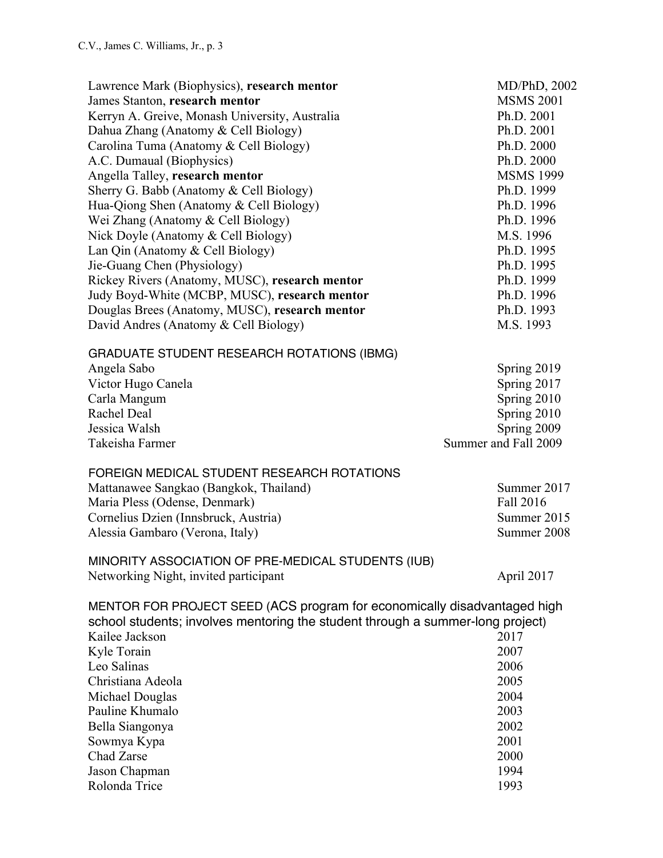| Lawrence Mark (Biophysics), research mentor<br>James Stanton, research mentor<br>Kerryn A. Greive, Monash University, Australia<br>Dahua Zhang (Anatomy & Cell Biology)<br>Carolina Tuma (Anatomy & Cell Biology)<br>A.C. Dumaual (Biophysics)<br>Angella Talley, research mentor<br>Sherry G. Babb (Anatomy & Cell Biology)<br>Hua-Qiong Shen (Anatomy & Cell Biology)<br>Wei Zhang (Anatomy & Cell Biology)<br>Nick Doyle (Anatomy & Cell Biology)<br>Lan Qin (Anatomy & Cell Biology)<br>Jie-Guang Chen (Physiology)<br>Rickey Rivers (Anatomy, MUSC), research mentor<br>Judy Boyd-White (MCBP, MUSC), research mentor<br>Douglas Brees (Anatomy, MUSC), research mentor<br>David Andres (Anatomy & Cell Biology) | MD/PhD, 2002<br><b>MSMS 2001</b><br>Ph.D. 2001<br>Ph.D. 2001<br>Ph.D. 2000<br>Ph.D. 2000<br><b>MSMS 1999</b><br>Ph.D. 1999<br>Ph.D. 1996<br>Ph.D. 1996<br>M.S. 1996<br>Ph.D. 1995<br>Ph.D. 1995<br>Ph.D. 1999<br>Ph.D. 1996<br>Ph.D. 1993<br>M.S. 1993 |
|-----------------------------------------------------------------------------------------------------------------------------------------------------------------------------------------------------------------------------------------------------------------------------------------------------------------------------------------------------------------------------------------------------------------------------------------------------------------------------------------------------------------------------------------------------------------------------------------------------------------------------------------------------------------------------------------------------------------------|--------------------------------------------------------------------------------------------------------------------------------------------------------------------------------------------------------------------------------------------------------|
| <b>GRADUATE STUDENT RESEARCH ROTATIONS (IBMG)</b><br>Angela Sabo<br>Victor Hugo Canela<br>Carla Mangum<br>Rachel Deal<br>Jessica Walsh<br>Takeisha Farmer                                                                                                                                                                                                                                                                                                                                                                                                                                                                                                                                                             | Spring 2019<br>Spring 2017<br>Spring 2010<br>Spring 2010<br>Spring 2009<br>Summer and Fall 2009                                                                                                                                                        |
| FOREIGN MEDICAL STUDENT RESEARCH ROTATIONS<br>Mattanawee Sangkao (Bangkok, Thailand)<br>Maria Pless (Odense, Denmark)<br>Cornelius Dzien (Innsbruck, Austria)<br>Alessia Gambaro (Verona, Italy)                                                                                                                                                                                                                                                                                                                                                                                                                                                                                                                      | Summer 2017<br>Fall 2016<br>Summer 2015<br>Summer 2008                                                                                                                                                                                                 |
| MINORITY ASSOCIATION OF PRE-MEDICAL STUDENTS (IUB)<br>Networking Night, invited participant                                                                                                                                                                                                                                                                                                                                                                                                                                                                                                                                                                                                                           | April 2017                                                                                                                                                                                                                                             |
| MENTOR FOR PROJECT SEED (ACS program for economically disadvantaged high<br>school students; involves mentoring the student through a summer-long project)<br>Kailee Jackson<br>2017                                                                                                                                                                                                                                                                                                                                                                                                                                                                                                                                  |                                                                                                                                                                                                                                                        |
| Kyle Torain                                                                                                                                                                                                                                                                                                                                                                                                                                                                                                                                                                                                                                                                                                           | 2007                                                                                                                                                                                                                                                   |
| Leo Salinas                                                                                                                                                                                                                                                                                                                                                                                                                                                                                                                                                                                                                                                                                                           | 2006                                                                                                                                                                                                                                                   |
| Christiana Adeola                                                                                                                                                                                                                                                                                                                                                                                                                                                                                                                                                                                                                                                                                                     | 2005                                                                                                                                                                                                                                                   |
| Michael Douglas                                                                                                                                                                                                                                                                                                                                                                                                                                                                                                                                                                                                                                                                                                       | 2004                                                                                                                                                                                                                                                   |
| Pauline Khumalo                                                                                                                                                                                                                                                                                                                                                                                                                                                                                                                                                                                                                                                                                                       | 2003                                                                                                                                                                                                                                                   |
| Bella Siangonya                                                                                                                                                                                                                                                                                                                                                                                                                                                                                                                                                                                                                                                                                                       | 2002                                                                                                                                                                                                                                                   |
| Sowmya Kypa                                                                                                                                                                                                                                                                                                                                                                                                                                                                                                                                                                                                                                                                                                           | 2001                                                                                                                                                                                                                                                   |
| Chad Zarse                                                                                                                                                                                                                                                                                                                                                                                                                                                                                                                                                                                                                                                                                                            | 2000                                                                                                                                                                                                                                                   |
| Jason Chapman                                                                                                                                                                                                                                                                                                                                                                                                                                                                                                                                                                                                                                                                                                         | 1994                                                                                                                                                                                                                                                   |
| Rolonda Trice                                                                                                                                                                                                                                                                                                                                                                                                                                                                                                                                                                                                                                                                                                         | 1993                                                                                                                                                                                                                                                   |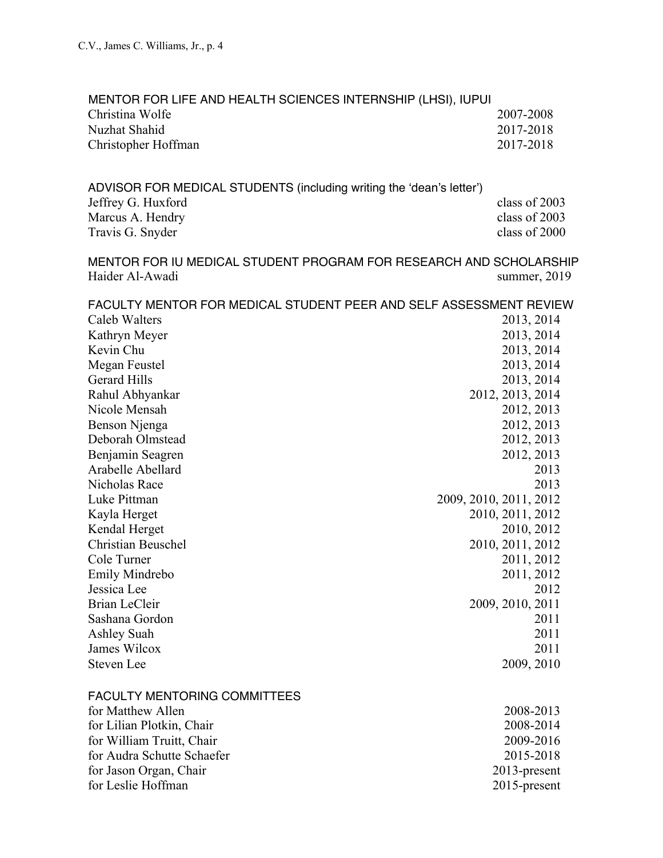| MENTOR FOR LIFE AND HEALTH SCIENCES INTERNSHIP (LHSI), IUPUI         |                                                                    |
|----------------------------------------------------------------------|--------------------------------------------------------------------|
| Christina Wolfe                                                      | 2007-2008                                                          |
| Nuzhat Shahid                                                        | 2017-2018                                                          |
| Christopher Hoffman                                                  | 2017-2018                                                          |
|                                                                      |                                                                    |
| ADVISOR FOR MEDICAL STUDENTS (including writing the 'dean's letter') |                                                                    |
| Jeffrey G. Huxford                                                   | class of 2003                                                      |
| Marcus A. Hendry                                                     | class of 2003                                                      |
| Travis G. Snyder                                                     | class of 2000                                                      |
|                                                                      | MENTOR FOR IU MEDICAL STUDENT PROGRAM FOR RESEARCH AND SCHOLARSHIP |
| Haider Al-Awadi                                                      | summer, 2019                                                       |
|                                                                      | FACULTY MENTOR FOR MEDICAL STUDENT PEER AND SELF ASSESSMENT REVIEW |
| Caleb Walters                                                        | 2013, 2014                                                         |
| Kathryn Meyer                                                        | 2013, 2014                                                         |
| Kevin Chu                                                            | 2013, 2014                                                         |
| Megan Feustel                                                        | 2013, 2014                                                         |
| <b>Gerard Hills</b>                                                  | 2013, 2014                                                         |
| Rahul Abhyankar                                                      | 2012, 2013, 2014                                                   |
| Nicole Mensah                                                        | 2012, 2013                                                         |
| Benson Njenga                                                        | 2012, 2013                                                         |
| Deborah Olmstead                                                     | 2012, 2013                                                         |
| Benjamin Seagren                                                     | 2012, 2013                                                         |
| Arabelle Abellard                                                    | 2013                                                               |
| Nicholas Race                                                        | 2013                                                               |
| Luke Pittman                                                         | 2009, 2010, 2011, 2012                                             |
| Kayla Herget                                                         | 2010, 2011, 2012                                                   |
| Kendal Herget                                                        | 2010, 2012                                                         |
| <b>Christian Beuschel</b>                                            | 2010, 2011, 2012                                                   |
| Cole Turner                                                          | 2011, 2012                                                         |
| Emily Mindrebo                                                       | 2011, 2012                                                         |
| Jessica Lee                                                          | 2012                                                               |
|                                                                      |                                                                    |
| <b>Brian LeCleir</b>                                                 | 2009, 2010, 2011                                                   |
| Sashana Gordon                                                       | 2011                                                               |
| Ashley Suah                                                          | 2011                                                               |
| James Wilcox                                                         | 2011                                                               |
| <b>Steven Lee</b>                                                    | 2009, 2010                                                         |
| <b>FACULTY MENTORING COMMITTEES</b>                                  |                                                                    |
| for Matthew Allen                                                    | 2008-2013                                                          |
| for Lilian Plotkin, Chair                                            | 2008-2014                                                          |
| for William Truitt, Chair                                            | 2009-2016                                                          |
| for Audra Schutte Schaefer                                           | 2015-2018                                                          |
| for Jason Organ, Chair                                               | 2013-present                                                       |
| for Leslie Hoffman                                                   | 2015-present                                                       |
|                                                                      |                                                                    |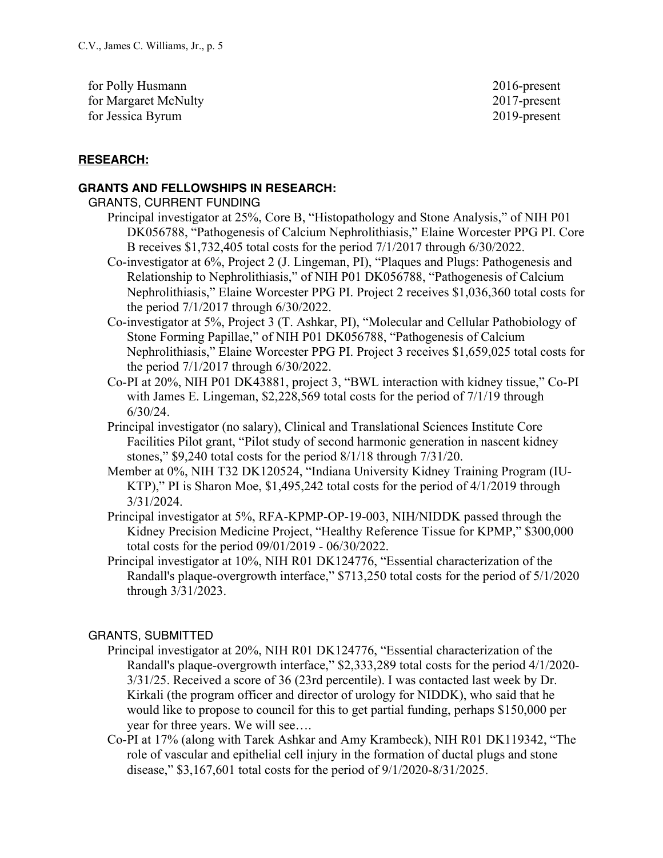for Polly Husmann 2016-present for Margaret McNulty 2017-present for Jessica Byrum 2019-present

## **RESEARCH:**

### **GRANTS AND FELLOWSHIPS IN RESEARCH:**

### GRANTS, CURRENT FUNDING

- Principal investigator at 25%, Core B, "Histopathology and Stone Analysis," of NIH P01 DK056788, "Pathogenesis of Calcium Nephrolithiasis," Elaine Worcester PPG PI. Core B receives \$1,732,405 total costs for the period 7/1/2017 through 6/30/2022.
- Co-investigator at 6%, Project 2 (J. Lingeman, PI), "Plaques and Plugs: Pathogenesis and Relationship to Nephrolithiasis," of NIH P01 DK056788, "Pathogenesis of Calcium Nephrolithiasis," Elaine Worcester PPG PI. Project 2 receives \$1,036,360 total costs for the period 7/1/2017 through 6/30/2022.
- Co-investigator at 5%, Project 3 (T. Ashkar, PI), "Molecular and Cellular Pathobiology of Stone Forming Papillae," of NIH P01 DK056788, "Pathogenesis of Calcium Nephrolithiasis," Elaine Worcester PPG PI. Project 3 receives \$1,659,025 total costs for the period 7/1/2017 through 6/30/2022.
- Co-PI at 20%, NIH P01 DK43881, project 3, "BWL interaction with kidney tissue," Co-PI with James E. Lingeman, \$2,228,569 total costs for the period of 7/1/19 through 6/30/24.
- Principal investigator (no salary), Clinical and Translational Sciences Institute Core Facilities Pilot grant, "Pilot study of second harmonic generation in nascent kidney stones," \$9,240 total costs for the period 8/1/18 through 7/31/20.
- Member at 0%, NIH T32 DK120524, "Indiana University Kidney Training Program (IU-KTP)," PI is Sharon Moe, \$1,495,242 total costs for the period of 4/1/2019 through 3/31/2024.
- Principal investigator at 5%, RFA-KPMP-OP-19-003, NIH/NIDDK passed through the Kidney Precision Medicine Project, "Healthy Reference Tissue for KPMP," \$300,000 total costs for the period 09/01/2019 - 06/30/2022.
- Principal investigator at 10%, NIH R01 DK124776, "Essential characterization of the Randall's plaque-overgrowth interface," \$713,250 total costs for the period of 5/1/2020 through 3/31/2023.

## GRANTS, SUBMITTED

- Principal investigator at 20%, NIH R01 DK124776, "Essential characterization of the Randall's plaque-overgrowth interface," \$2,333,289 total costs for the period 4/1/2020- 3/31/25. Received a score of 36 (23rd percentile). I was contacted last week by Dr. Kirkali (the program officer and director of urology for NIDDK), who said that he would like to propose to council for this to get partial funding, perhaps \$150,000 per year for three years. We will see….
- Co-PI at 17% (along with Tarek Ashkar and Amy Krambeck), NIH R01 DK119342, "The role of vascular and epithelial cell injury in the formation of ductal plugs and stone disease," \$3,167,601 total costs for the period of 9/1/2020-8/31/2025.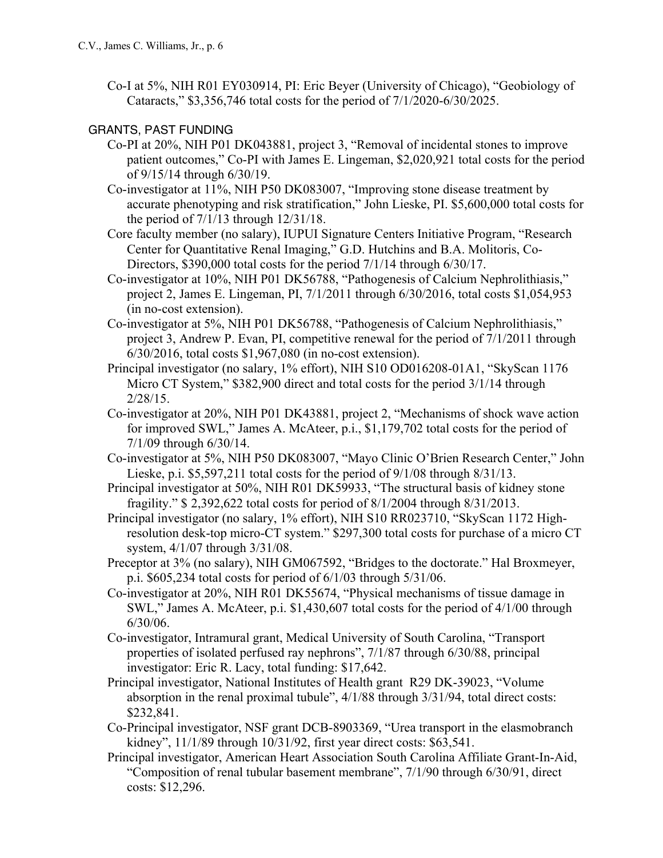Co-I at 5%, NIH R01 EY030914, PI: Eric Beyer (University of Chicago), "Geobiology of Cataracts," \$3,356,746 total costs for the period of 7/1/2020-6/30/2025.

## GRANTS, PAST FUNDING

- Co-PI at 20%, NIH P01 DK043881, project 3, "Removal of incidental stones to improve patient outcomes," Co-PI with James E. Lingeman, \$2,020,921 total costs for the period of 9/15/14 through 6/30/19.
- Co-investigator at 11%, NIH P50 DK083007, "Improving stone disease treatment by accurate phenotyping and risk stratification," John Lieske, PI. \$5,600,000 total costs for the period of 7/1/13 through 12/31/18.
- Core faculty member (no salary), IUPUI Signature Centers Initiative Program, "Research Center for Quantitative Renal Imaging," G.D. Hutchins and B.A. Molitoris, Co-Directors, \$390,000 total costs for the period 7/1/14 through 6/30/17.
- Co-investigator at 10%, NIH P01 DK56788, "Pathogenesis of Calcium Nephrolithiasis," project 2, James E. Lingeman, PI, 7/1/2011 through 6/30/2016, total costs \$1,054,953 (in no-cost extension).
- Co-investigator at 5%, NIH P01 DK56788, "Pathogenesis of Calcium Nephrolithiasis," project 3, Andrew P. Evan, PI, competitive renewal for the period of 7/1/2011 through 6/30/2016, total costs \$1,967,080 (in no-cost extension).
- Principal investigator (no salary, 1% effort), NIH S10 OD016208-01A1, "SkyScan 1176 Micro CT System," \$382,900 direct and total costs for the period 3/1/14 through 2/28/15.
- Co-investigator at 20%, NIH P01 DK43881, project 2, "Mechanisms of shock wave action for improved SWL," James A. McAteer, p.i., \$1,179,702 total costs for the period of 7/1/09 through 6/30/14.
- Co-investigator at 5%, NIH P50 DK083007, "Mayo Clinic O'Brien Research Center," John Lieske, p.i. \$5,597,211 total costs for the period of 9/1/08 through 8/31/13.
- Principal investigator at 50%, NIH R01 DK59933, "The structural basis of kidney stone fragility." \$ 2,392,622 total costs for period of 8/1/2004 through 8/31/2013.
- Principal investigator (no salary, 1% effort), NIH S10 RR023710, "SkyScan 1172 Highresolution desk-top micro-CT system." \$297,300 total costs for purchase of a micro CT system, 4/1/07 through 3/31/08.
- Preceptor at 3% (no salary), NIH GM067592, "Bridges to the doctorate." Hal Broxmeyer, p.i. \$605,234 total costs for period of 6/1/03 through 5/31/06.
- Co-investigator at 20%, NIH R01 DK55674, "Physical mechanisms of tissue damage in SWL," James A. McAteer, p.i. \$1,430,607 total costs for the period of 4/1/00 through 6/30/06.
- Co-investigator, Intramural grant, Medical University of South Carolina, "Transport properties of isolated perfused ray nephrons", 7/1/87 through 6/30/88, principal investigator: Eric R. Lacy, total funding: \$17,642.
- Principal investigator, National Institutes of Health grant R29 DK-39023, "Volume absorption in the renal proximal tubule", 4/1/88 through 3/31/94, total direct costs: \$232,841.
- Co-Principal investigator, NSF grant DCB-8903369, "Urea transport in the elasmobranch kidney", 11/1/89 through 10/31/92, first year direct costs: \$63,541.
- Principal investigator, American Heart Association South Carolina Affiliate Grant-In-Aid, "Composition of renal tubular basement membrane", 7/1/90 through 6/30/91, direct costs: \$12,296.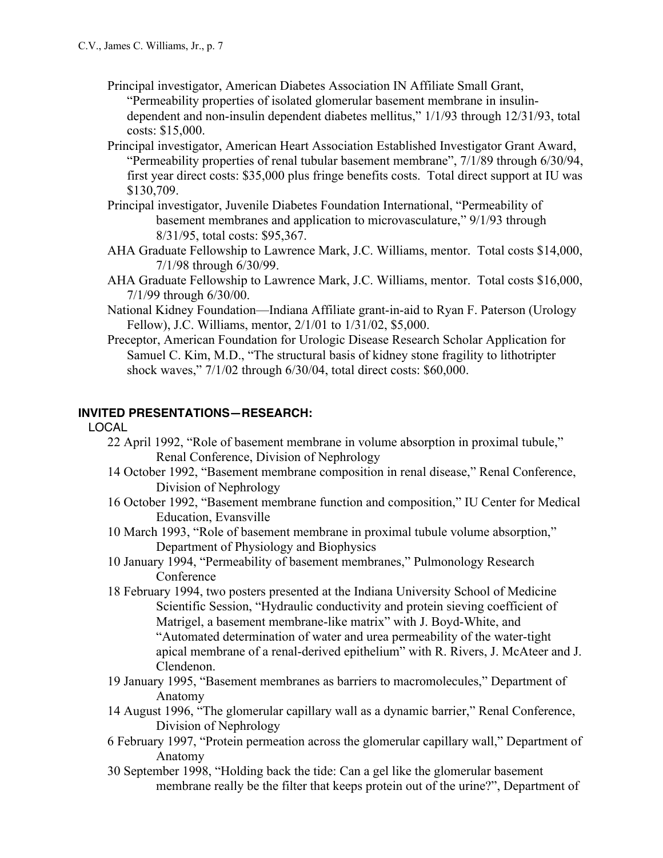- Principal investigator, American Diabetes Association IN Affiliate Small Grant, "Permeability properties of isolated glomerular basement membrane in insulindependent and non-insulin dependent diabetes mellitus," 1/1/93 through 12/31/93, total costs: \$15,000.
- Principal investigator, American Heart Association Established Investigator Grant Award, "Permeability properties of renal tubular basement membrane", 7/1/89 through 6/30/94, first year direct costs: \$35,000 plus fringe benefits costs. Total direct support at IU was \$130,709.
- Principal investigator, Juvenile Diabetes Foundation International, "Permeability of basement membranes and application to microvasculature," 9/1/93 through 8/31/95, total costs: \$95,367.
- AHA Graduate Fellowship to Lawrence Mark, J.C. Williams, mentor. Total costs \$14,000, 7/1/98 through 6/30/99.
- AHA Graduate Fellowship to Lawrence Mark, J.C. Williams, mentor. Total costs \$16,000, 7/1/99 through 6/30/00.
- National Kidney Foundation—Indiana Affiliate grant-in-aid to Ryan F. Paterson (Urology Fellow), J.C. Williams, mentor, 2/1/01 to 1/31/02, \$5,000.
- Preceptor, American Foundation for Urologic Disease Research Scholar Application for Samuel C. Kim, M.D., "The structural basis of kidney stone fragility to lithotripter shock waves," 7/1/02 through 6/30/04, total direct costs: \$60,000.

## **INVITED PRESENTATIONS—RESEARCH:**

### LOCAL

- 22 April 1992, "Role of basement membrane in volume absorption in proximal tubule," Renal Conference, Division of Nephrology
- 14 October 1992, "Basement membrane composition in renal disease," Renal Conference, Division of Nephrology
- 16 October 1992, "Basement membrane function and composition," IU Center for Medical Education, Evansville
- 10 March 1993, "Role of basement membrane in proximal tubule volume absorption," Department of Physiology and Biophysics
- 10 January 1994, "Permeability of basement membranes," Pulmonology Research Conference
- 18 February 1994, two posters presented at the Indiana University School of Medicine Scientific Session, "Hydraulic conductivity and protein sieving coefficient of Matrigel, a basement membrane-like matrix" with J. Boyd-White, and "Automated determination of water and urea permeability of the water-tight apical membrane of a renal-derived epithelium" with R. Rivers, J. McAteer and J. Clendenon.
- 19 January 1995, "Basement membranes as barriers to macromolecules," Department of Anatomy
- 14 August 1996, "The glomerular capillary wall as a dynamic barrier," Renal Conference, Division of Nephrology
- 6 February 1997, "Protein permeation across the glomerular capillary wall," Department of Anatomy
- 30 September 1998, "Holding back the tide: Can a gel like the glomerular basement membrane really be the filter that keeps protein out of the urine?", Department of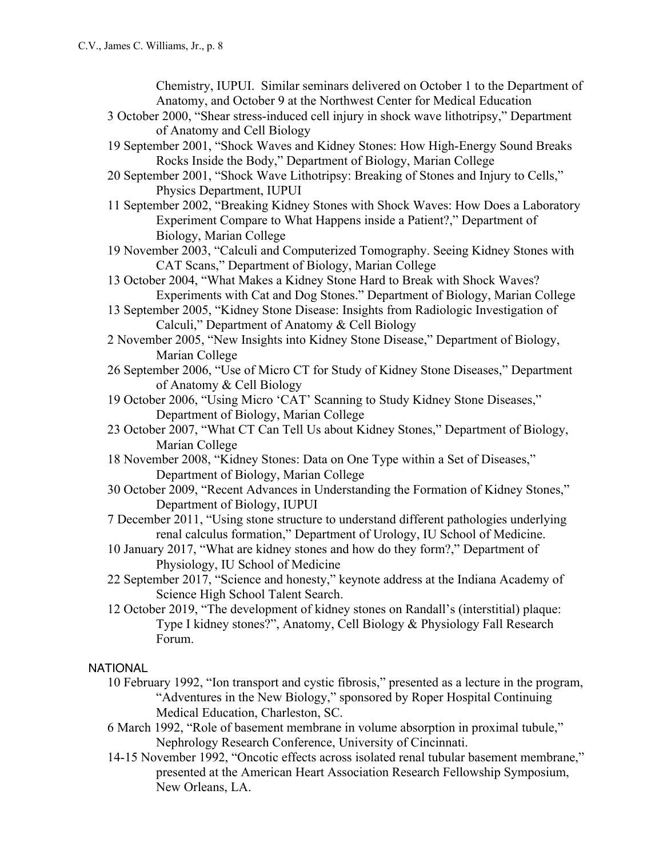Chemistry, IUPUI. Similar seminars delivered on October 1 to the Department of Anatomy, and October 9 at the Northwest Center for Medical Education

- 3 October 2000, "Shear stress-induced cell injury in shock wave lithotripsy," Department of Anatomy and Cell Biology
- 19 September 2001, "Shock Waves and Kidney Stones: How High-Energy Sound Breaks Rocks Inside the Body," Department of Biology, Marian College
- 20 September 2001, "Shock Wave Lithotripsy: Breaking of Stones and Injury to Cells," Physics Department, IUPUI
- 11 September 2002, "Breaking Kidney Stones with Shock Waves: How Does a Laboratory Experiment Compare to What Happens inside a Patient?," Department of Biology, Marian College
- 19 November 2003, "Calculi and Computerized Tomography. Seeing Kidney Stones with CAT Scans," Department of Biology, Marian College
- 13 October 2004, "What Makes a Kidney Stone Hard to Break with Shock Waves? Experiments with Cat and Dog Stones." Department of Biology, Marian College
- 13 September 2005, "Kidney Stone Disease: Insights from Radiologic Investigation of Calculi," Department of Anatomy & Cell Biology
- 2 November 2005, "New Insights into Kidney Stone Disease," Department of Biology, Marian College
- 26 September 2006, "Use of Micro CT for Study of Kidney Stone Diseases," Department of Anatomy & Cell Biology
- 19 October 2006, "Using Micro 'CAT' Scanning to Study Kidney Stone Diseases," Department of Biology, Marian College
- 23 October 2007, "What CT Can Tell Us about Kidney Stones," Department of Biology, Marian College
- 18 November 2008, "Kidney Stones: Data on One Type within a Set of Diseases," Department of Biology, Marian College
- 30 October 2009, "Recent Advances in Understanding the Formation of Kidney Stones," Department of Biology, IUPUI
- 7 December 2011, "Using stone structure to understand different pathologies underlying renal calculus formation," Department of Urology, IU School of Medicine.
- 10 January 2017, "What are kidney stones and how do they form?," Department of Physiology, IU School of Medicine
- 22 September 2017, "Science and honesty," keynote address at the Indiana Academy of Science High School Talent Search.
- 12 October 2019, "The development of kidney stones on Randall's (interstitial) plaque: Type I kidney stones?", Anatomy, Cell Biology & Physiology Fall Research Forum.

## **NATIONAL**

- 10 February 1992, "Ion transport and cystic fibrosis," presented as a lecture in the program, "Adventures in the New Biology," sponsored by Roper Hospital Continuing Medical Education, Charleston, SC.
- 6 March 1992, "Role of basement membrane in volume absorption in proximal tubule," Nephrology Research Conference, University of Cincinnati.
- 14-15 November 1992, "Oncotic effects across isolated renal tubular basement membrane," presented at the American Heart Association Research Fellowship Symposium, New Orleans, LA.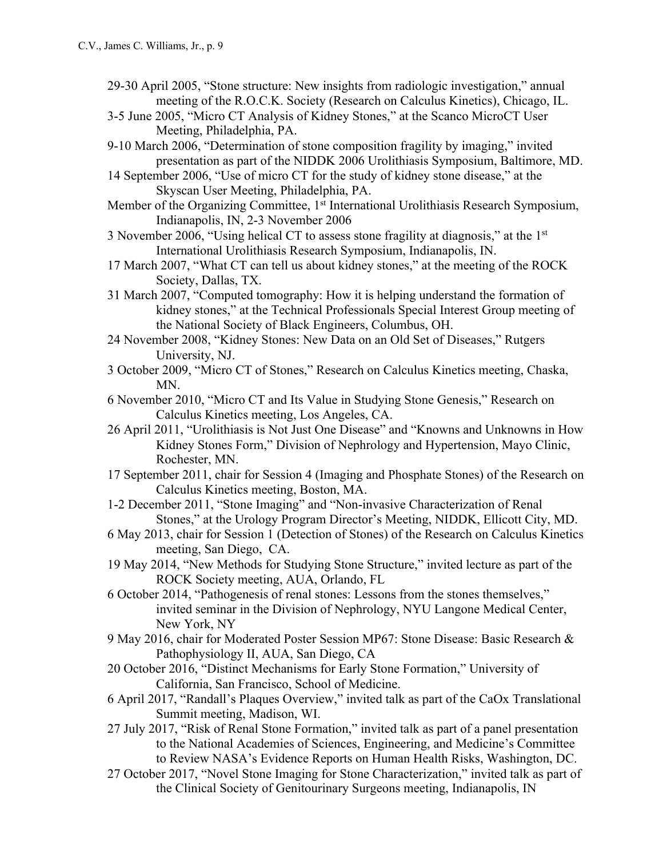- 29-30 April 2005, "Stone structure: New insights from radiologic investigation," annual meeting of the R.O.C.K. Society (Research on Calculus Kinetics), Chicago, IL.
- 3-5 June 2005, "Micro CT Analysis of Kidney Stones," at the Scanco MicroCT User Meeting, Philadelphia, PA.
- 9-10 March 2006, "Determination of stone composition fragility by imaging," invited presentation as part of the NIDDK 2006 Urolithiasis Symposium, Baltimore, MD.
- 14 September 2006, "Use of micro CT for the study of kidney stone disease," at the Skyscan User Meeting, Philadelphia, PA.
- Member of the Organizing Committee, 1<sup>st</sup> International Urolithiasis Research Symposium, Indianapolis, IN, 2-3 November 2006
- 3 November 2006, "Using helical CT to assess stone fragility at diagnosis," at the 1st International Urolithiasis Research Symposium, Indianapolis, IN.
- 17 March 2007, "What CT can tell us about kidney stones," at the meeting of the ROCK Society, Dallas, TX.
- 31 March 2007, "Computed tomography: How it is helping understand the formation of kidney stones," at the Technical Professionals Special Interest Group meeting of the National Society of Black Engineers, Columbus, OH.
- 24 November 2008, "Kidney Stones: New Data on an Old Set of Diseases," Rutgers University, NJ.
- 3 October 2009, "Micro CT of Stones," Research on Calculus Kinetics meeting, Chaska, MN.
- 6 November 2010, "Micro CT and Its Value in Studying Stone Genesis," Research on Calculus Kinetics meeting, Los Angeles, CA.
- 26 April 2011, "Urolithiasis is Not Just One Disease" and "Knowns and Unknowns in How Kidney Stones Form," Division of Nephrology and Hypertension, Mayo Clinic, Rochester, MN.
- 17 September 2011, chair for Session 4 (Imaging and Phosphate Stones) of the Research on Calculus Kinetics meeting, Boston, MA.
- 1-2 December 2011, "Stone Imaging" and "Non-invasive Characterization of Renal Stones," at the Urology Program Director's Meeting, NIDDK, Ellicott City, MD.
- 6 May 2013, chair for Session 1 (Detection of Stones) of the Research on Calculus Kinetics meeting, San Diego, CA.
- 19 May 2014, "New Methods for Studying Stone Structure," invited lecture as part of the ROCK Society meeting, AUA, Orlando, FL
- 6 October 2014, "Pathogenesis of renal stones: Lessons from the stones themselves," invited seminar in the Division of Nephrology, NYU Langone Medical Center, New York, NY
- 9 May 2016, chair for Moderated Poster Session MP67: Stone Disease: Basic Research & Pathophysiology II, AUA, San Diego, CA
- 20 October 2016, "Distinct Mechanisms for Early Stone Formation," University of California, San Francisco, School of Medicine.
- 6 April 2017, "Randall's Plaques Overview," invited talk as part of the CaOx Translational Summit meeting, Madison, WI.
- 27 July 2017, "Risk of Renal Stone Formation," invited talk as part of a panel presentation to the National Academies of Sciences, Engineering, and Medicine's Committee to Review NASA's Evidence Reports on Human Health Risks, Washington, DC.
- 27 October 2017, "Novel Stone Imaging for Stone Characterization," invited talk as part of the Clinical Society of Genitourinary Surgeons meeting, Indianapolis, IN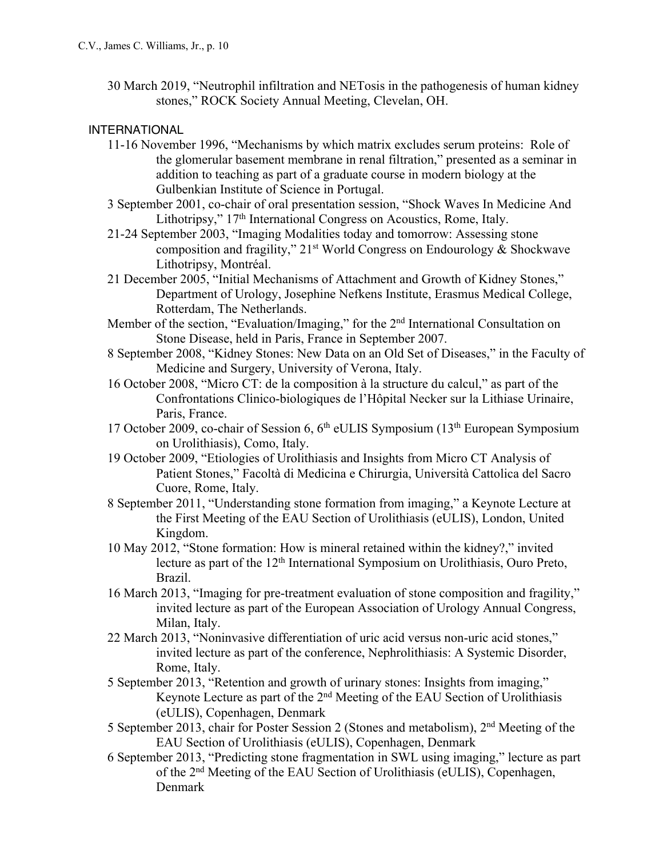30 March 2019, "Neutrophil infiltration and NETosis in the pathogenesis of human kidney stones," ROCK Society Annual Meeting, Clevelan, OH.

## INTERNATIONAL

- 11-16 November 1996, "Mechanisms by which matrix excludes serum proteins: Role of the glomerular basement membrane in renal filtration," presented as a seminar in addition to teaching as part of a graduate course in modern biology at the Gulbenkian Institute of Science in Portugal.
- 3 September 2001, co-chair of oral presentation session, "Shock Waves In Medicine And Lithotripsy," 17<sup>th</sup> International Congress on Acoustics, Rome, Italy.
- 21-24 September 2003, "Imaging Modalities today and tomorrow: Assessing stone composition and fragility,"  $21<sup>st</sup>$  World Congress on Endourology & Shockwave Lithotripsy, Montréal.
- 21 December 2005, "Initial Mechanisms of Attachment and Growth of Kidney Stones," Department of Urology, Josephine Nefkens Institute, Erasmus Medical College, Rotterdam, The Netherlands.
- Member of the section, "Evaluation/Imaging," for the 2<sup>nd</sup> International Consultation on Stone Disease, held in Paris, France in September 2007.
- 8 September 2008, "Kidney Stones: New Data on an Old Set of Diseases," in the Faculty of Medicine and Surgery, University of Verona, Italy.
- 16 October 2008, "Micro CT: de la composition à la structure du calcul," as part of the Confrontations Clinico-biologiques de l'Hôpital Necker sur la Lithiase Urinaire, Paris, France.
- 17 October 2009, co-chair of Session 6, 6<sup>th</sup> eULIS Symposium (13<sup>th</sup> European Symposium on Urolithiasis), Como, Italy.
- 19 October 2009, "Etiologies of Urolithiasis and Insights from Micro CT Analysis of Patient Stones," Facoltà di Medicina e Chirurgia, Università Cattolica del Sacro Cuore, Rome, Italy.
- 8 September 2011, "Understanding stone formation from imaging," a Keynote Lecture at the First Meeting of the EAU Section of Urolithiasis (eULIS), London, United Kingdom.
- 10 May 2012, "Stone formation: How is mineral retained within the kidney?," invited lecture as part of the 12<sup>th</sup> International Symposium on Urolithiasis, Ouro Preto, Brazil.
- 16 March 2013, "Imaging for pre-treatment evaluation of stone composition and fragility," invited lecture as part of the European Association of Urology Annual Congress, Milan, Italy.
- 22 March 2013, "Noninvasive differentiation of uric acid versus non-uric acid stones," invited lecture as part of the conference, Nephrolithiasis: A Systemic Disorder, Rome, Italy.
- 5 September 2013, "Retention and growth of urinary stones: Insights from imaging," Keynote Lecture as part of the 2nd Meeting of the EAU Section of Urolithiasis (eULIS), Copenhagen, Denmark
- 5 September 2013, chair for Poster Session 2 (Stones and metabolism), 2nd Meeting of the EAU Section of Urolithiasis (eULIS), Copenhagen, Denmark
- 6 September 2013, "Predicting stone fragmentation in SWL using imaging," lecture as part of the 2nd Meeting of the EAU Section of Urolithiasis (eULIS), Copenhagen, Denmark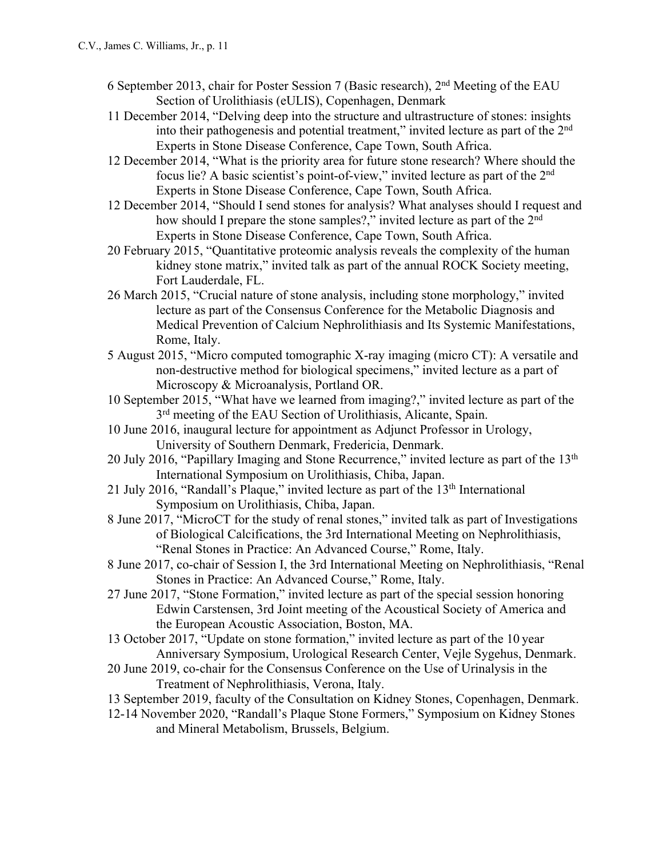- 6 September 2013, chair for Poster Session 7 (Basic research), 2nd Meeting of the EAU Section of Urolithiasis (eULIS), Copenhagen, Denmark
- 11 December 2014, "Delving deep into the structure and ultrastructure of stones: insights into their pathogenesis and potential treatment," invited lecture as part of the 2nd Experts in Stone Disease Conference, Cape Town, South Africa.
- 12 December 2014, "What is the priority area for future stone research? Where should the focus lie? A basic scientist's point-of-view," invited lecture as part of the 2nd Experts in Stone Disease Conference, Cape Town, South Africa.
- 12 December 2014, "Should I send stones for analysis? What analyses should I request and how should I prepare the stone samples?," invited lecture as part of the 2<sup>nd</sup> Experts in Stone Disease Conference, Cape Town, South Africa.
- 20 February 2015, "Quantitative proteomic analysis reveals the complexity of the human kidney stone matrix," invited talk as part of the annual ROCK Society meeting, Fort Lauderdale, FL.
- 26 March 2015, "Crucial nature of stone analysis, including stone morphology," invited lecture as part of the Consensus Conference for the Metabolic Diagnosis and Medical Prevention of Calcium Nephrolithiasis and Its Systemic Manifestations, Rome, Italy.
- 5 August 2015, "Micro computed tomographic X-ray imaging (micro CT): A versatile and non-destructive method for biological specimens," invited lecture as a part of Microscopy & Microanalysis, Portland OR.
- 10 September 2015, "What have we learned from imaging?," invited lecture as part of the  $3<sup>rd</sup>$  meeting of the EAU Section of Urolithiasis, Alicante, Spain.
- 10 June 2016, inaugural lecture for appointment as Adjunct Professor in Urology, University of Southern Denmark, Fredericia, Denmark.
- 20 July 2016, "Papillary Imaging and Stone Recurrence," invited lecture as part of the 13<sup>th</sup> International Symposium on Urolithiasis, Chiba, Japan.
- 21 July 2016, "Randall's Plaque," invited lecture as part of the 13<sup>th</sup> International Symposium on Urolithiasis, Chiba, Japan.
- 8 June 2017, "MicroCT for the study of renal stones," invited talk as part of Investigations of Biological Calcifications, the 3rd International Meeting on Nephrolithiasis, "Renal Stones in Practice: An Advanced Course," Rome, Italy.
- 8 June 2017, co-chair of Session I, the 3rd International Meeting on Nephrolithiasis, "Renal Stones in Practice: An Advanced Course," Rome, Italy.
- 27 June 2017, "Stone Formation," invited lecture as part of the special session honoring Edwin Carstensen, 3rd Joint meeting of the Acoustical Society of America and the European Acoustic Association, Boston, MA.
- 13 October 2017, "Update on stone formation," invited lecture as part of the 10 year Anniversary Symposium, Urological Research Center, Vejle Sygehus, Denmark.
- 20 June 2019, co-chair for the Consensus Conference on the Use of Urinalysis in the Treatment of Nephrolithiasis, Verona, Italy.
- 13 September 2019, faculty of the Consultation on Kidney Stones, Copenhagen, Denmark.
- 12-14 November 2020, "Randall's Plaque Stone Formers," Symposium on Kidney Stones and Mineral Metabolism, Brussels, Belgium.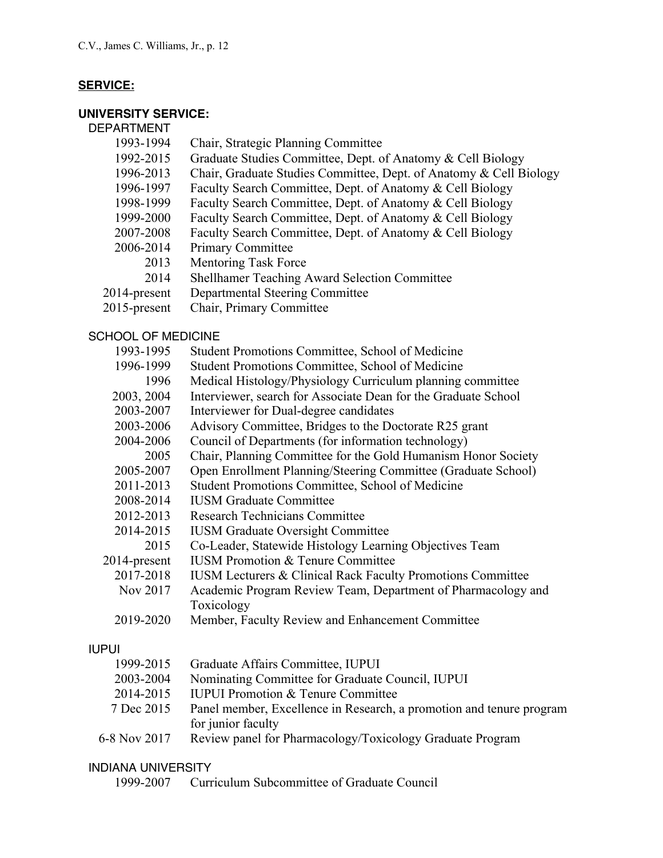# **SERVICE:**

# **UNIVERSITY SERVICE:**

| <b>DEPARTMENT</b>         |                                                                        |
|---------------------------|------------------------------------------------------------------------|
| 1993-1994                 | Chair, Strategic Planning Committee                                    |
| 1992-2015                 | Graduate Studies Committee, Dept. of Anatomy & Cell Biology            |
| 1996-2013                 | Chair, Graduate Studies Committee, Dept. of Anatomy & Cell Biology     |
| 1996-1997                 | Faculty Search Committee, Dept. of Anatomy & Cell Biology              |
| 1998-1999                 | Faculty Search Committee, Dept. of Anatomy & Cell Biology              |
| 1999-2000                 | Faculty Search Committee, Dept. of Anatomy & Cell Biology              |
| 2007-2008                 | Faculty Search Committee, Dept. of Anatomy & Cell Biology              |
| 2006-2014                 | <b>Primary Committee</b>                                               |
| 2013                      | <b>Mentoring Task Force</b>                                            |
| 2014                      | <b>Shellhamer Teaching Award Selection Committee</b>                   |
| 2014-present              | Departmental Steering Committee                                        |
| 2015-present              | Chair, Primary Committee                                               |
| <b>SCHOOL OF MEDICINE</b> |                                                                        |
| 1993-1995                 | Student Promotions Committee, School of Medicine                       |
| 1996-1999                 | Student Promotions Committee, School of Medicine                       |
| 1996                      | Medical Histology/Physiology Curriculum planning committee             |
| 2003, 2004                | Interviewer, search for Associate Dean for the Graduate School         |
| 2003-2007                 | Interviewer for Dual-degree candidates                                 |
| 2003-2006                 | Advisory Committee, Bridges to the Doctorate R25 grant                 |
| 2004-2006                 | Council of Departments (for information technology)                    |
| 2005                      | Chair, Planning Committee for the Gold Humanism Honor Society          |
| 2005-2007                 | Open Enrollment Planning/Steering Committee (Graduate School)          |
| 2011-2013                 | Student Promotions Committee, School of Medicine                       |
| 2008-2014                 | <b>IUSM Graduate Committee</b>                                         |
| 2012-2013                 | <b>Research Technicians Committee</b>                                  |
| 2014-2015                 | <b>IUSM Graduate Oversight Committee</b>                               |
| 2015                      | Co-Leader, Statewide Histology Learning Objectives Team                |
| 2014-present              | <b>IUSM Promotion &amp; Tenure Committee</b>                           |
| 2017-2018                 | <b>IUSM Lecturers &amp; Clinical Rack Faculty Promotions Committee</b> |
| Nov 2017                  | Academic Program Review Team, Department of Pharmacology and           |
|                           | Toxicology                                                             |
| 2019-2020                 | Member, Faculty Review and Enhancement Committee                       |
| <b>IUPUI</b>              |                                                                        |

|              | 1999-2015 Graduate Affairs Committee, IUPUI                          |
|--------------|----------------------------------------------------------------------|
| 2003-2004    | Nominating Committee for Graduate Council, IUPUI                     |
| 2014-2015    | <b>IUPUI Promotion &amp; Tenure Committee</b>                        |
| 7 Dec 2015   | Panel member, Excellence in Research, a promotion and tenure program |
|              | for junior faculty                                                   |
| 6-8 Nov 2017 | Review panel for Pharmacology/Toxicology Graduate Program            |

### INDIANA UNIVERSITY

1999-2007 Curriculum Subcommittee of Graduate Council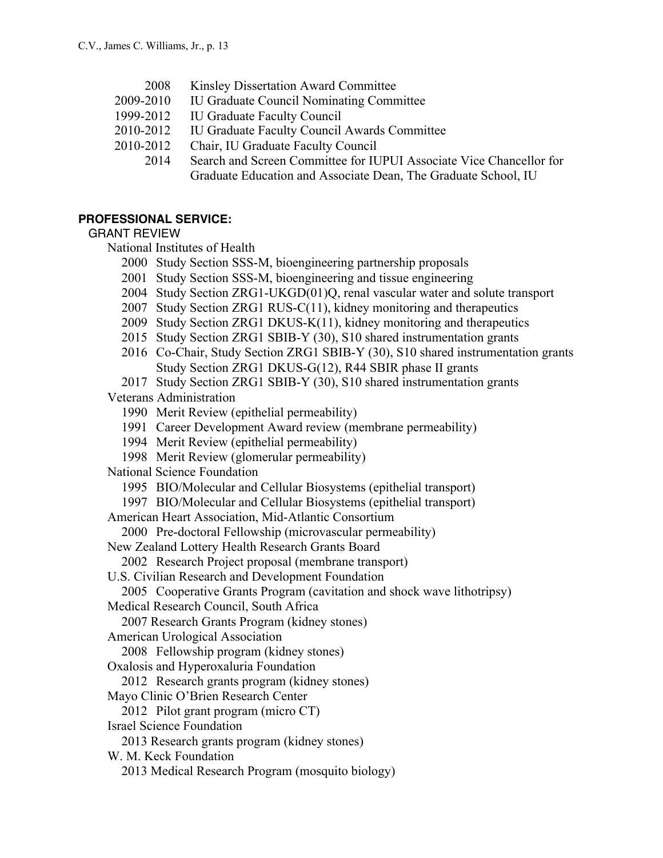- 2008 Kinsley Dissertation Award Committee
- 2009-2010 IU Graduate Council Nominating Committee
- 1999-2012 IU Graduate Faculty Council
- 2010-2012 IU Graduate Faculty Council Awards Committee
- 2010-2012 Chair, IU Graduate Faculty Council
	- 2014 Search and Screen Committee for IUPUI Associate Vice Chancellor for Graduate Education and Associate Dean, The Graduate School, IU

### **PROFESSIONAL SERVICE:**

### GRANT REVIEW

National Institutes of Health

- 2000 Study Section SSS-M, bioengineering partnership proposals
- 2001 Study Section SSS-M, bioengineering and tissue engineering
- 2004 Study Section ZRG1-UKGD(01)Q, renal vascular water and solute transport
- 2007 Study Section ZRG1 RUS-C(11), kidney monitoring and therapeutics
- 2009 Study Section ZRG1 DKUS-K(11), kidney monitoring and therapeutics
- 2015 Study Section ZRG1 SBIB-Y (30), S10 shared instrumentation grants
- 2016 Co-Chair, Study Section ZRG1 SBIB-Y (30), S10 shared instrumentation grants Study Section ZRG1 DKUS-G(12), R44 SBIR phase II grants

### 2017 Study Section ZRG1 SBIB-Y (30), S10 shared instrumentation grants

Veterans Administration

- 1990 Merit Review (epithelial permeability)
- 1991 Career Development Award review (membrane permeability)
- 1994 Merit Review (epithelial permeability)
- 1998 Merit Review (glomerular permeability)

National Science Foundation

- 1995 BIO/Molecular and Cellular Biosystems (epithelial transport)
- 1997 BIO/Molecular and Cellular Biosystems (epithelial transport)

American Heart Association, Mid-Atlantic Consortium

2000 Pre-doctoral Fellowship (microvascular permeability)

New Zealand Lottery Health Research Grants Board

2002 Research Project proposal (membrane transport)

U.S. Civilian Research and Development Foundation

2005 Cooperative Grants Program (cavitation and shock wave lithotripsy)

Medical Research Council, South Africa

2007 Research Grants Program (kidney stones)

American Urological Association

2008 Fellowship program (kidney stones)

Oxalosis and Hyperoxaluria Foundation

2012 Research grants program (kidney stones)

Mayo Clinic O'Brien Research Center

2012 Pilot grant program (micro CT)

Israel Science Foundation

2013 Research grants program (kidney stones)

W. M. Keck Foundation

2013 Medical Research Program (mosquito biology)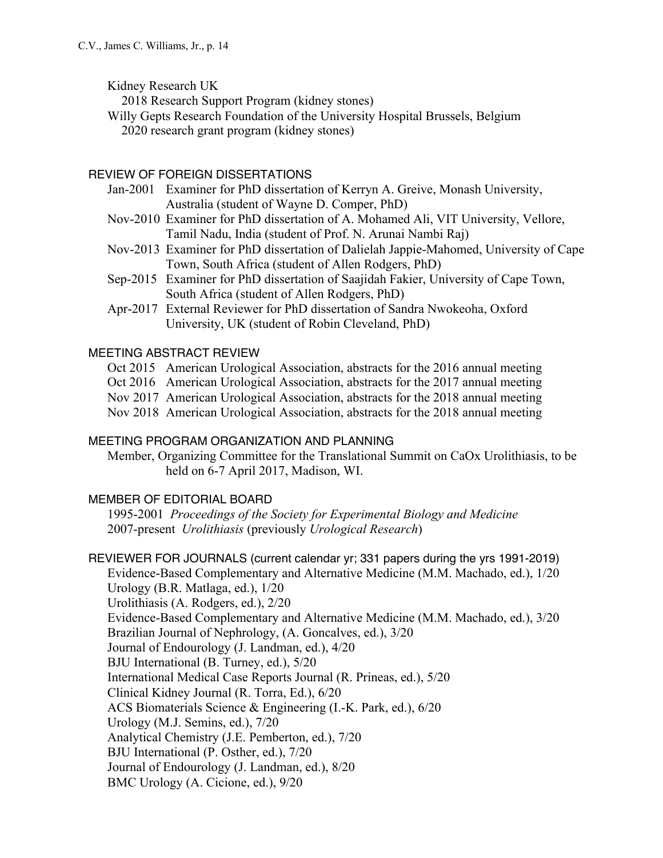Kidney Research UK

2018 Research Support Program (kidney stones)

Willy Gepts Research Foundation of the University Hospital Brussels, Belgium 2020 research grant program (kidney stones)

# REVIEW OF FOREIGN DISSERTATIONS

- Jan-2001 Examiner for PhD dissertation of Kerryn A. Greive, Monash University, Australia (student of Wayne D. Comper, PhD)
- Nov-2010 Examiner for PhD dissertation of A. Mohamed Ali, VIT University, Vellore, Tamil Nadu, India (student of Prof. N. Arunai Nambi Raj)
- Nov-2013 Examiner for PhD dissertation of Dalielah Jappie-Mahomed, University of Cape Town, South Africa (student of Allen Rodgers, PhD)
- Sep-2015 Examiner for PhD dissertation of Saajidah Fakier, University of Cape Town, South Africa (student of Allen Rodgers, PhD)
- Apr-2017 External Reviewer for PhD dissertation of Sandra Nwokeoha, Oxford University, UK (student of Robin Cleveland, PhD)

### MEETING ABSTRACT REVIEW

- Oct 2015 American Urological Association, abstracts for the 2016 annual meeting
- Oct 2016 American Urological Association, abstracts for the 2017 annual meeting
- Nov 2017 American Urological Association, abstracts for the 2018 annual meeting
- Nov 2018 American Urological Association, abstracts for the 2018 annual meeting

### MEETING PROGRAM ORGANIZATION AND PLANNING

Member, Organizing Committee for the Translational Summit on CaOx Urolithiasis, to be held on 6-7 April 2017, Madison, WI.

## MEMBER OF EDITORIAL BOARD

1995-2001 *Proceedings of the Society for Experimental Biology and Medicine* 2007-present *Urolithiasis* (previously *Urological Research*)

REVIEWER FOR JOURNALS (current calendar yr; 331 papers during the yrs 1991-2019) Evidence-Based Complementary and Alternative Medicine (M.M. Machado, ed.), 1/20

Urology (B.R. Matlaga, ed.), 1/20 Urolithiasis (A. Rodgers, ed.), 2/20 Evidence-Based Complementary and Alternative Medicine (M.M. Machado, ed.), 3/20 Brazilian Journal of Nephrology, (A. Goncalves, ed.), 3/20 Journal of Endourology (J. Landman, ed.), 4/20 BJU International (B. Turney, ed.), 5/20 International Medical Case Reports Journal (R. Prineas, ed.), 5/20 Clinical Kidney Journal (R. Torra, Ed.), 6/20 ACS Biomaterials Science & Engineering (I.-K. Park, ed.), 6/20 Urology (M.J. Semins, ed.), 7/20 Analytical Chemistry (J.E. Pemberton, ed.), 7/20 BJU International (P. Osther, ed.), 7/20 Journal of Endourology (J. Landman, ed.), 8/20 BMC Urology (A. Cicione, ed.), 9/20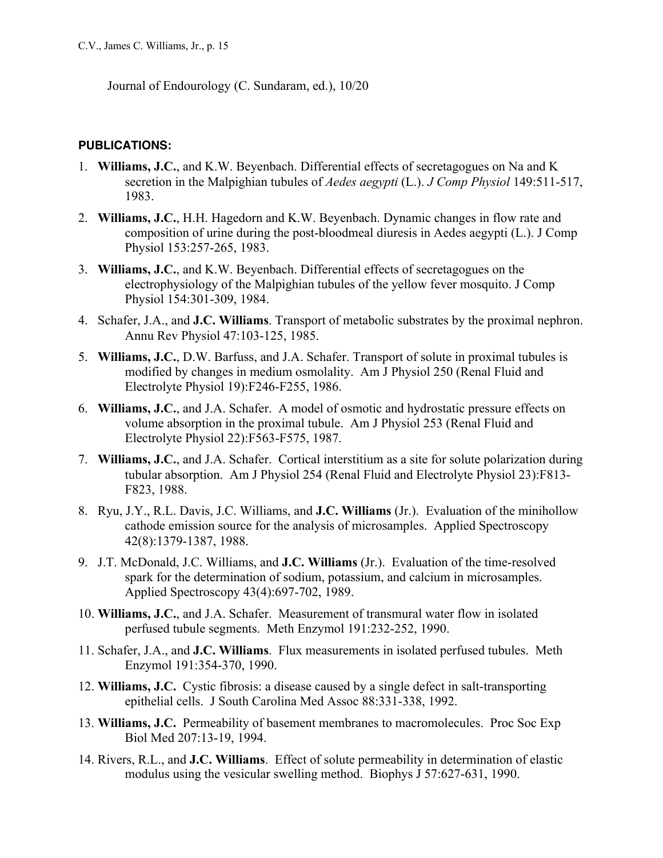Journal of Endourology (C. Sundaram, ed.), 10/20

## **PUBLICATIONS:**

- 1. **Williams, J.C.**, and K.W. Beyenbach. Differential effects of secretagogues on Na and K secretion in the Malpighian tubules of *Aedes aegypti* (L.). *J Comp Physiol* 149:511-517, 1983.
- 2. **Williams, J.C.**, H.H. Hagedorn and K.W. Beyenbach. Dynamic changes in flow rate and composition of urine during the post-bloodmeal diuresis in Aedes aegypti (L.). J Comp Physiol 153:257-265, 1983.
- 3. **Williams, J.C.**, and K.W. Beyenbach. Differential effects of secretagogues on the electrophysiology of the Malpighian tubules of the yellow fever mosquito. J Comp Physiol 154:301-309, 1984.
- 4. Schafer, J.A., and **J.C. Williams**. Transport of metabolic substrates by the proximal nephron. Annu Rev Physiol 47:103-125, 1985.
- 5. **Williams, J.C.**, D.W. Barfuss, and J.A. Schafer. Transport of solute in proximal tubules is modified by changes in medium osmolality. Am J Physiol 250 (Renal Fluid and Electrolyte Physiol 19):F246-F255, 1986.
- 6. **Williams, J.C.**, and J.A. Schafer. A model of osmotic and hydrostatic pressure effects on volume absorption in the proximal tubule. Am J Physiol 253 (Renal Fluid and Electrolyte Physiol 22):F563-F575, 1987.
- 7. **Williams, J.C.**, and J.A. Schafer. Cortical interstitium as a site for solute polarization during tubular absorption. Am J Physiol 254 (Renal Fluid and Electrolyte Physiol 23):F813- F823, 1988.
- 8. Ryu, J.Y., R.L. Davis, J.C. Williams, and **J.C. Williams** (Jr.). Evaluation of the minihollow cathode emission source for the analysis of microsamples. Applied Spectroscopy 42(8):1379-1387, 1988.
- 9. J.T. McDonald, J.C. Williams, and **J.C. Williams** (Jr.). Evaluation of the time-resolved spark for the determination of sodium, potassium, and calcium in microsamples. Applied Spectroscopy 43(4):697-702, 1989.
- 10. **Williams, J.C.**, and J.A. Schafer. Measurement of transmural water flow in isolated perfused tubule segments. Meth Enzymol 191:232-252, 1990.
- 11. Schafer, J.A., and **J.C. Williams**. Flux measurements in isolated perfused tubules. Meth Enzymol 191:354-370, 1990.
- 12. **Williams, J.C.** Cystic fibrosis: a disease caused by a single defect in salt-transporting epithelial cells. J South Carolina Med Assoc 88:331-338, 1992.
- 13. **Williams, J.C.** Permeability of basement membranes to macromolecules. Proc Soc Exp Biol Med 207:13-19, 1994.
- 14. Rivers, R.L., and **J.C. Williams**. Effect of solute permeability in determination of elastic modulus using the vesicular swelling method. Biophys J 57:627-631, 1990.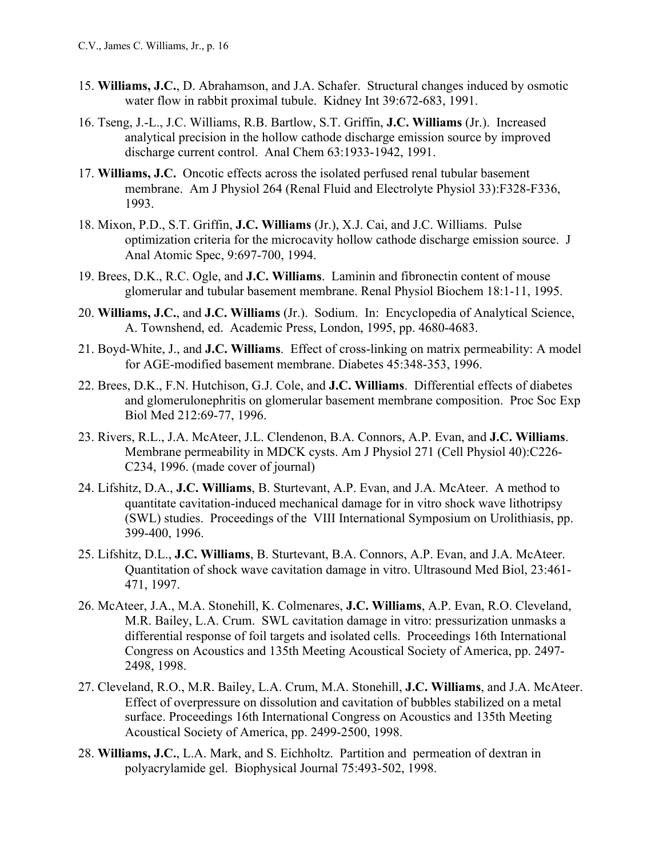- 15. **Williams, J.C.**, D. Abrahamson, and J.A. Schafer. Structural changes induced by osmotic water flow in rabbit proximal tubule. Kidney Int 39:672-683, 1991.
- 16. Tseng, J.-L., J.C. Williams, R.B. Bartlow, S.T. Griffin, **J.C. Williams** (Jr.). Increased analytical precision in the hollow cathode discharge emission source by improved discharge current control. Anal Chem 63:1933-1942, 1991.
- 17. **Williams, J.C.** Oncotic effects across the isolated perfused renal tubular basement membrane. Am J Physiol 264 (Renal Fluid and Electrolyte Physiol 33):F328-F336, 1993.
- 18. Mixon, P.D., S.T. Griffin, **J.C. Williams** (Jr.), X.J. Cai, and J.C. Williams. Pulse optimization criteria for the microcavity hollow cathode discharge emission source. J Anal Atomic Spec, 9:697-700, 1994.
- 19. Brees, D.K., R.C. Ogle, and **J.C. Williams**. Laminin and fibronectin content of mouse glomerular and tubular basement membrane. Renal Physiol Biochem 18:1-11, 1995.
- 20. **Williams, J.C.**, and **J.C. Williams** (Jr.). Sodium. In: Encyclopedia of Analytical Science, A. Townshend, ed. Academic Press, London, 1995, pp. 4680-4683.
- 21. Boyd-White, J., and **J.C. Williams**. Effect of cross-linking on matrix permeability: A model for AGE-modified basement membrane. Diabetes 45:348-353, 1996.
- 22. Brees, D.K., F.N. Hutchison, G.J. Cole, and **J.C. Williams**. Differential effects of diabetes and glomerulonephritis on glomerular basement membrane composition. Proc Soc Exp Biol Med 212:69-77, 1996.
- 23. Rivers, R.L., J.A. McAteer, J.L. Clendenon, B.A. Connors, A.P. Evan, and **J.C. Williams**. Membrane permeability in MDCK cysts. Am J Physiol 271 (Cell Physiol 40):C226- C234, 1996. (made cover of journal)
- 24. Lifshitz, D.A., **J.C. Williams**, B. Sturtevant, A.P. Evan, and J.A. McAteer. A method to quantitate cavitation-induced mechanical damage for in vitro shock wave lithotripsy (SWL) studies. Proceedings of the VIII International Symposium on Urolithiasis, pp. 399-400, 1996.
- 25. Lifshitz, D.L., **J.C. Williams**, B. Sturtevant, B.A. Connors, A.P. Evan, and J.A. McAteer. Quantitation of shock wave cavitation damage in vitro. Ultrasound Med Biol, 23:461- 471, 1997.
- 26. McAteer, J.A., M.A. Stonehill, K. Colmenares, **J.C. Williams**, A.P. Evan, R.O. Cleveland, M.R. Bailey, L.A. Crum. SWL cavitation damage in vitro: pressurization unmasks a differential response of foil targets and isolated cells. Proceedings 16th International Congress on Acoustics and 135th Meeting Acoustical Society of America, pp. 2497- 2498, 1998.
- 27. Cleveland, R.O., M.R. Bailey, L.A. Crum, M.A. Stonehill, **J.C. Williams**, and J.A. McAteer. Effect of overpressure on dissolution and cavitation of bubbles stabilized on a metal surface. Proceedings 16th International Congress on Acoustics and 135th Meeting Acoustical Society of America, pp. 2499-2500, 1998.
- 28. **Williams, J.C.**, L.A. Mark, and S. Eichholtz. Partition and permeation of dextran in polyacrylamide gel. Biophysical Journal 75:493-502, 1998.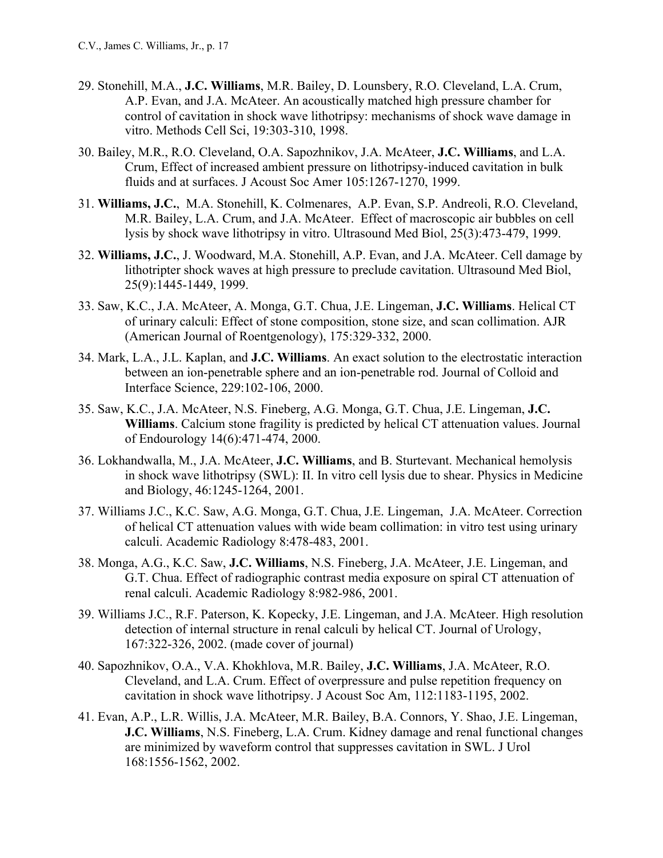- 29. Stonehill, M.A., **J.C. Williams**, M.R. Bailey, D. Lounsbery, R.O. Cleveland, L.A. Crum, A.P. Evan, and J.A. McAteer. An acoustically matched high pressure chamber for control of cavitation in shock wave lithotripsy: mechanisms of shock wave damage in vitro. Methods Cell Sci, 19:303-310, 1998.
- 30. Bailey, M.R., R.O. Cleveland, O.A. Sapozhnikov, J.A. McAteer, **J.C. Williams**, and L.A. Crum, Effect of increased ambient pressure on lithotripsy-induced cavitation in bulk fluids and at surfaces. J Acoust Soc Amer 105:1267-1270, 1999.
- 31. **Williams, J.C.**, M.A. Stonehill, K. Colmenares, A.P. Evan, S.P. Andreoli, R.O. Cleveland, M.R. Bailey, L.A. Crum, and J.A. McAteer. Effect of macroscopic air bubbles on cell lysis by shock wave lithotripsy in vitro. Ultrasound Med Biol, 25(3):473-479, 1999.
- 32. **Williams, J.C.**, J. Woodward, M.A. Stonehill, A.P. Evan, and J.A. McAteer. Cell damage by lithotripter shock waves at high pressure to preclude cavitation. Ultrasound Med Biol, 25(9):1445-1449, 1999.
- 33. Saw, K.C., J.A. McAteer, A. Monga, G.T. Chua, J.E. Lingeman, **J.C. Williams**. Helical CT of urinary calculi: Effect of stone composition, stone size, and scan collimation. AJR (American Journal of Roentgenology), 175:329-332, 2000.
- 34. Mark, L.A., J.L. Kaplan, and **J.C. Williams**. An exact solution to the electrostatic interaction between an ion-penetrable sphere and an ion-penetrable rod. Journal of Colloid and Interface Science, 229:102-106, 2000.
- 35. Saw, K.C., J.A. McAteer, N.S. Fineberg, A.G. Monga, G.T. Chua, J.E. Lingeman, **J.C. Williams**. Calcium stone fragility is predicted by helical CT attenuation values. Journal of Endourology 14(6):471-474, 2000.
- 36. Lokhandwalla, M., J.A. McAteer, **J.C. Williams**, and B. Sturtevant. Mechanical hemolysis in shock wave lithotripsy (SWL): II. In vitro cell lysis due to shear. Physics in Medicine and Biology, 46:1245-1264, 2001.
- 37. Williams J.C., K.C. Saw, A.G. Monga, G.T. Chua, J.E. Lingeman, J.A. McAteer. Correction of helical CT attenuation values with wide beam collimation: in vitro test using urinary calculi. Academic Radiology 8:478-483, 2001.
- 38. Monga, A.G., K.C. Saw, **J.C. Williams**, N.S. Fineberg, J.A. McAteer, J.E. Lingeman, and G.T. Chua. Effect of radiographic contrast media exposure on spiral CT attenuation of renal calculi. Academic Radiology 8:982-986, 2001.
- 39. Williams J.C., R.F. Paterson, K. Kopecky, J.E. Lingeman, and J.A. McAteer. High resolution detection of internal structure in renal calculi by helical CT. Journal of Urology, 167:322-326, 2002. (made cover of journal)
- 40. Sapozhnikov, O.A., V.A. Khokhlova, M.R. Bailey, **J.C. Williams**, J.A. McAteer, R.O. Cleveland, and L.A. Crum. Effect of overpressure and pulse repetition frequency on cavitation in shock wave lithotripsy. J Acoust Soc Am, 112:1183-1195, 2002.
- 41. Evan, A.P., L.R. Willis, J.A. McAteer, M.R. Bailey, B.A. Connors, Y. Shao, J.E. Lingeman, **J.C. Williams**, N.S. Fineberg, L.A. Crum. Kidney damage and renal functional changes are minimized by waveform control that suppresses cavitation in SWL. J Urol 168:1556-1562, 2002.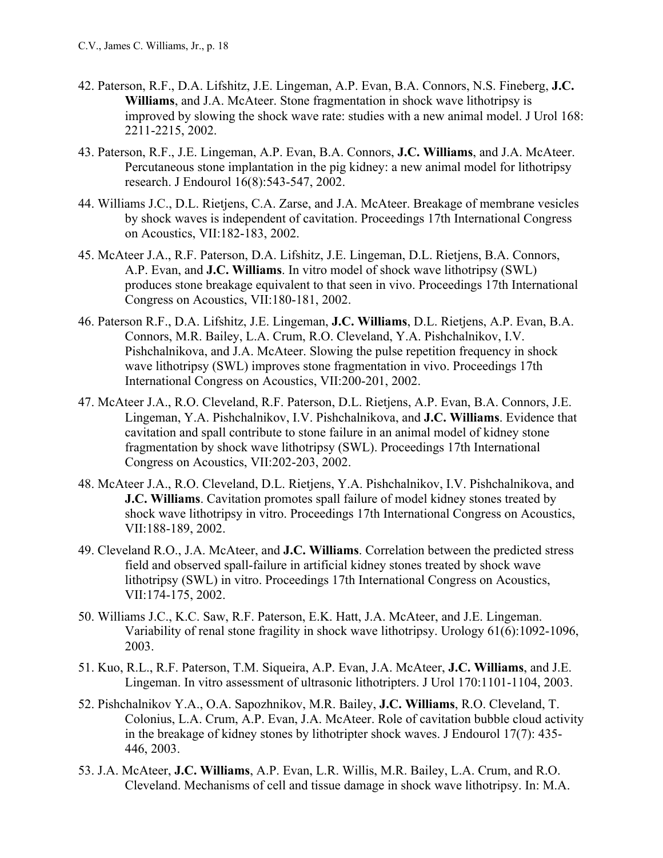- 42. Paterson, R.F., D.A. Lifshitz, J.E. Lingeman, A.P. Evan, B.A. Connors, N.S. Fineberg, **J.C. Williams**, and J.A. McAteer. Stone fragmentation in shock wave lithotripsy is improved by slowing the shock wave rate: studies with a new animal model. J Urol 168: 2211-2215, 2002.
- 43. Paterson, R.F., J.E. Lingeman, A.P. Evan, B.A. Connors, **J.C. Williams**, and J.A. McAteer. Percutaneous stone implantation in the pig kidney: a new animal model for lithotripsy research. J Endourol 16(8):543-547, 2002.
- 44. Williams J.C., D.L. Rietjens, C.A. Zarse, and J.A. McAteer. Breakage of membrane vesicles by shock waves is independent of cavitation. Proceedings 17th International Congress on Acoustics, VII:182-183, 2002.
- 45. McAteer J.A., R.F. Paterson, D.A. Lifshitz, J.E. Lingeman, D.L. Rietjens, B.A. Connors, A.P. Evan, and **J.C. Williams**. In vitro model of shock wave lithotripsy (SWL) produces stone breakage equivalent to that seen in vivo. Proceedings 17th International Congress on Acoustics, VII:180-181, 2002.
- 46. Paterson R.F., D.A. Lifshitz, J.E. Lingeman, **J.C. Williams**, D.L. Rietjens, A.P. Evan, B.A. Connors, M.R. Bailey, L.A. Crum, R.O. Cleveland, Y.A. Pishchalnikov, I.V. Pishchalnikova, and J.A. McAteer. Slowing the pulse repetition frequency in shock wave lithotripsy (SWL) improves stone fragmentation in vivo. Proceedings 17th International Congress on Acoustics, VII:200-201, 2002.
- 47. McAteer J.A., R.O. Cleveland, R.F. Paterson, D.L. Rietjens, A.P. Evan, B.A. Connors, J.E. Lingeman, Y.A. Pishchalnikov, I.V. Pishchalnikova, and **J.C. Williams**. Evidence that cavitation and spall contribute to stone failure in an animal model of kidney stone fragmentation by shock wave lithotripsy (SWL). Proceedings 17th International Congress on Acoustics, VII:202-203, 2002.
- 48. McAteer J.A., R.O. Cleveland, D.L. Rietjens, Y.A. Pishchalnikov, I.V. Pishchalnikova, and **J.C. Williams**. Cavitation promotes spall failure of model kidney stones treated by shock wave lithotripsy in vitro. Proceedings 17th International Congress on Acoustics, VII:188-189, 2002.
- 49. Cleveland R.O., J.A. McAteer, and **J.C. Williams**. Correlation between the predicted stress field and observed spall-failure in artificial kidney stones treated by shock wave lithotripsy (SWL) in vitro. Proceedings 17th International Congress on Acoustics, VII:174-175, 2002.
- 50. Williams J.C., K.C. Saw, R.F. Paterson, E.K. Hatt, J.A. McAteer, and J.E. Lingeman. Variability of renal stone fragility in shock wave lithotripsy. Urology 61(6):1092-1096, 2003.
- 51. Kuo, R.L., R.F. Paterson, T.M. Siqueira, A.P. Evan, J.A. McAteer, **J.C. Williams**, and J.E. Lingeman. In vitro assessment of ultrasonic lithotripters. J Urol 170:1101-1104, 2003.
- 52. Pishchalnikov Y.A., O.A. Sapozhnikov, M.R. Bailey, **J.C. Williams**, R.O. Cleveland, T. Colonius, L.A. Crum, A.P. Evan, J.A. McAteer. Role of cavitation bubble cloud activity in the breakage of kidney stones by lithotripter shock waves. J Endourol 17(7): 435- 446, 2003.
- 53. J.A. McAteer, **J.C. Williams**, A.P. Evan, L.R. Willis, M.R. Bailey, L.A. Crum, and R.O. Cleveland. Mechanisms of cell and tissue damage in shock wave lithotripsy. In: M.A.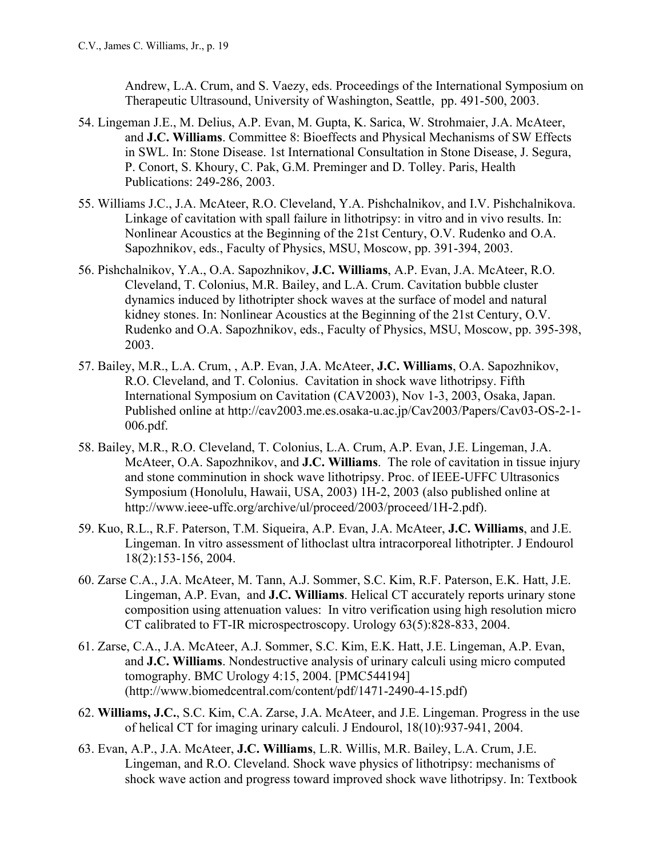Andrew, L.A. Crum, and S. Vaezy, eds. Proceedings of the International Symposium on Therapeutic Ultrasound, University of Washington, Seattle, pp. 491-500, 2003.

- 54. Lingeman J.E., M. Delius, A.P. Evan, M. Gupta, K. Sarica, W. Strohmaier, J.A. McAteer, and **J.C. Williams**. Committee 8: Bioeffects and Physical Mechanisms of SW Effects in SWL. In: Stone Disease. 1st International Consultation in Stone Disease, J. Segura, P. Conort, S. Khoury, C. Pak, G.M. Preminger and D. Tolley. Paris, Health Publications: 249-286, 2003.
- 55. Williams J.C., J.A. McAteer, R.O. Cleveland, Y.A. Pishchalnikov, and I.V. Pishchalnikova. Linkage of cavitation with spall failure in lithotripsy: in vitro and in vivo results. In: Nonlinear Acoustics at the Beginning of the 21st Century, O.V. Rudenko and O.A. Sapozhnikov, eds., Faculty of Physics, MSU, Moscow, pp. 391-394, 2003.
- 56. Pishchalnikov, Y.A., O.A. Sapozhnikov, **J.C. Williams**, A.P. Evan, J.A. McAteer, R.O. Cleveland, T. Colonius, M.R. Bailey, and L.A. Crum. Cavitation bubble cluster dynamics induced by lithotripter shock waves at the surface of model and natural kidney stones. In: Nonlinear Acoustics at the Beginning of the 21st Century, O.V. Rudenko and O.A. Sapozhnikov, eds., Faculty of Physics, MSU, Moscow, pp. 395-398, 2003.
- 57. Bailey, M.R., L.A. Crum, , A.P. Evan, J.A. McAteer, **J.C. Williams**, O.A. Sapozhnikov, R.O. Cleveland, and T. Colonius. Cavitation in shock wave lithotripsy. Fifth International Symposium on Cavitation (CAV2003), Nov 1-3, 2003, Osaka, Japan. Published online at http://cav2003.me.es.osaka-u.ac.jp/Cav2003/Papers/Cav03-OS-2-1- 006.pdf.
- 58. Bailey, M.R., R.O. Cleveland, T. Colonius, L.A. Crum, A.P. Evan, J.E. Lingeman, J.A. McAteer, O.A. Sapozhnikov, and **J.C. Williams**. The role of cavitation in tissue injury and stone comminution in shock wave lithotripsy. Proc. of IEEE-UFFC Ultrasonics Symposium (Honolulu, Hawaii, USA, 2003) 1H-2, 2003 (also published online at http://www.ieee-uffc.org/archive/ul/proceed/2003/proceed/1H-2.pdf).
- 59. Kuo, R.L., R.F. Paterson, T.M. Siqueira, A.P. Evan, J.A. McAteer, **J.C. Williams**, and J.E. Lingeman. In vitro assessment of lithoclast ultra intracorporeal lithotripter. J Endourol 18(2):153-156, 2004.
- 60. Zarse C.A., J.A. McAteer, M. Tann, A.J. Sommer, S.C. Kim, R.F. Paterson, E.K. Hatt, J.E. Lingeman, A.P. Evan, and **J.C. Williams**. Helical CT accurately reports urinary stone composition using attenuation values: In vitro verification using high resolution micro CT calibrated to FT-IR microspectroscopy. Urology 63(5):828-833, 2004.
- 61. Zarse, C.A., J.A. McAteer, A.J. Sommer, S.C. Kim, E.K. Hatt, J.E. Lingeman, A.P. Evan, and **J.C. Williams**. Nondestructive analysis of urinary calculi using micro computed tomography. BMC Urology 4:15, 2004. [PMC544194] (http://www.biomedcentral.com/content/pdf/1471-2490-4-15.pdf)
- 62. **Williams, J.C.**, S.C. Kim, C.A. Zarse, J.A. McAteer, and J.E. Lingeman. Progress in the use of helical CT for imaging urinary calculi. J Endourol, 18(10):937-941, 2004.
- 63. Evan, A.P., J.A. McAteer, **J.C. Williams**, L.R. Willis, M.R. Bailey, L.A. Crum, J.E. Lingeman, and R.O. Cleveland. Shock wave physics of lithotripsy: mechanisms of shock wave action and progress toward improved shock wave lithotripsy. In: Textbook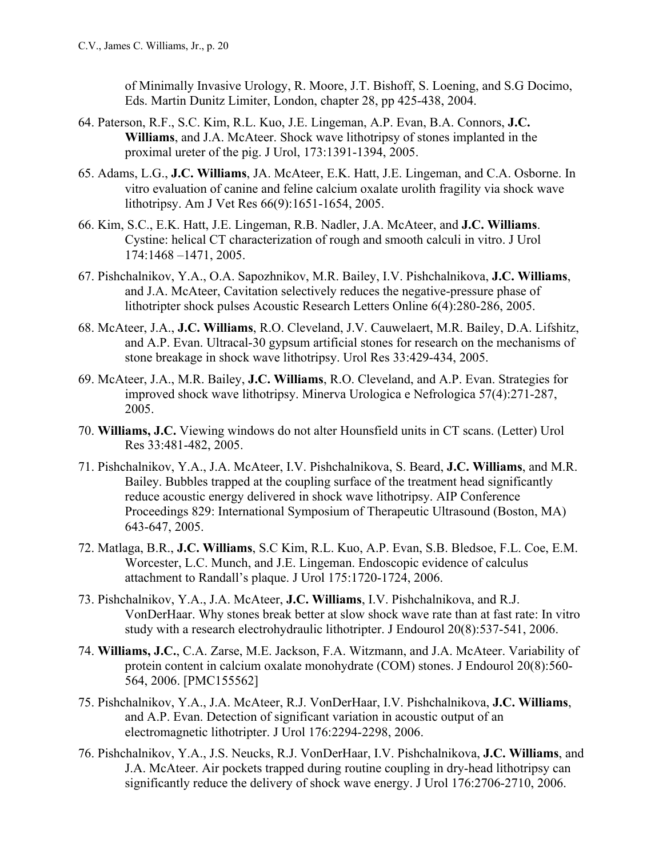of Minimally Invasive Urology, R. Moore, J.T. Bishoff, S. Loening, and S.G Docimo, Eds. Martin Dunitz Limiter, London, chapter 28, pp 425-438, 2004.

- 64. Paterson, R.F., S.C. Kim, R.L. Kuo, J.E. Lingeman, A.P. Evan, B.A. Connors, **J.C. Williams**, and J.A. McAteer. Shock wave lithotripsy of stones implanted in the proximal ureter of the pig. J Urol, 173:1391-1394, 2005.
- 65. Adams, L.G., **J.C. Williams**, JA. McAteer, E.K. Hatt, J.E. Lingeman, and C.A. Osborne. In vitro evaluation of canine and feline calcium oxalate urolith fragility via shock wave lithotripsy. Am J Vet Res 66(9):1651-1654, 2005.
- 66. Kim, S.C., E.K. Hatt, J.E. Lingeman, R.B. Nadler, J.A. McAteer, and **J.C. Williams**. Cystine: helical CT characterization of rough and smooth calculi in vitro. J Urol 174:1468 –1471, 2005.
- 67. Pishchalnikov, Y.A., O.A. Sapozhnikov, M.R. Bailey, I.V. Pishchalnikova, **J.C. Williams**, and J.A. McAteer, Cavitation selectively reduces the negative-pressure phase of lithotripter shock pulses Acoustic Research Letters Online 6(4):280-286, 2005.
- 68. McAteer, J.A., **J.C. Williams**, R.O. Cleveland, J.V. Cauwelaert, M.R. Bailey, D.A. Lifshitz, and A.P. Evan. Ultracal-30 gypsum artificial stones for research on the mechanisms of stone breakage in shock wave lithotripsy. Urol Res 33:429-434, 2005.
- 69. McAteer, J.A., M.R. Bailey, **J.C. Williams**, R.O. Cleveland, and A.P. Evan. Strategies for improved shock wave lithotripsy. Minerva Urologica e Nefrologica 57(4):271-287, 2005.
- 70. **Williams, J.C.** Viewing windows do not alter Hounsfield units in CT scans. (Letter) Urol Res 33:481-482, 2005.
- 71. Pishchalnikov, Y.A., J.A. McAteer, I.V. Pishchalnikova, S. Beard, **J.C. Williams**, and M.R. Bailey. Bubbles trapped at the coupling surface of the treatment head significantly reduce acoustic energy delivered in shock wave lithotripsy. AIP Conference Proceedings 829: International Symposium of Therapeutic Ultrasound (Boston, MA) 643-647, 2005.
- 72. Matlaga, B.R., **J.C. Williams**, S.C Kim, R.L. Kuo, A.P. Evan, S.B. Bledsoe, F.L. Coe, E.M. Worcester, L.C. Munch, and J.E. Lingeman. Endoscopic evidence of calculus attachment to Randall's plaque. J Urol 175:1720-1724, 2006.
- 73. Pishchalnikov, Y.A., J.A. McAteer, **J.C. Williams**, I.V. Pishchalnikova, and R.J. VonDerHaar. Why stones break better at slow shock wave rate than at fast rate: In vitro study with a research electrohydraulic lithotripter. J Endourol 20(8):537-541, 2006.
- 74. **Williams, J.C.**, C.A. Zarse, M.E. Jackson, F.A. Witzmann, and J.A. McAteer. Variability of protein content in calcium oxalate monohydrate (COM) stones. J Endourol 20(8):560- 564, 2006. [PMC155562]
- 75. Pishchalnikov, Y.A., J.A. McAteer, R.J. VonDerHaar, I.V. Pishchalnikova, **J.C. Williams**, and A.P. Evan. Detection of significant variation in acoustic output of an electromagnetic lithotripter. J Urol 176:2294-2298, 2006.
- 76. Pishchalnikov, Y.A., J.S. Neucks, R.J. VonDerHaar, I.V. Pishchalnikova, **J.C. Williams**, and J.A. McAteer. Air pockets trapped during routine coupling in dry-head lithotripsy can significantly reduce the delivery of shock wave energy. J Urol 176:2706-2710, 2006.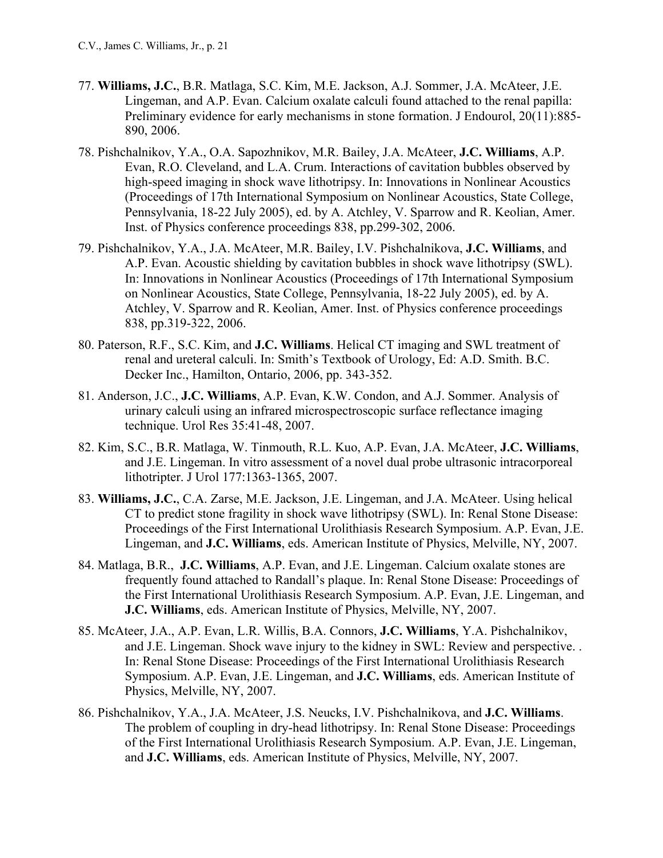- 77. **Williams, J.C.**, B.R. Matlaga, S.C. Kim, M.E. Jackson, A.J. Sommer, J.A. McAteer, J.E. Lingeman, and A.P. Evan. Calcium oxalate calculi found attached to the renal papilla: Preliminary evidence for early mechanisms in stone formation. J Endourol, 20(11):885- 890, 2006.
- 78. Pishchalnikov, Y.A., O.A. Sapozhnikov, M.R. Bailey, J.A. McAteer, **J.C. Williams**, A.P. Evan, R.O. Cleveland, and L.A. Crum. Interactions of cavitation bubbles observed by high-speed imaging in shock wave lithotripsy. In: Innovations in Nonlinear Acoustics (Proceedings of 17th International Symposium on Nonlinear Acoustics, State College, Pennsylvania, 18-22 July 2005), ed. by A. Atchley, V. Sparrow and R. Keolian, Amer. Inst. of Physics conference proceedings 838, pp.299-302, 2006.
- 79. Pishchalnikov, Y.A., J.A. McAteer, M.R. Bailey, I.V. Pishchalnikova, **J.C. Williams**, and A.P. Evan. Acoustic shielding by cavitation bubbles in shock wave lithotripsy (SWL). In: Innovations in Nonlinear Acoustics (Proceedings of 17th International Symposium on Nonlinear Acoustics, State College, Pennsylvania, 18-22 July 2005), ed. by A. Atchley, V. Sparrow and R. Keolian, Amer. Inst. of Physics conference proceedings 838, pp.319-322, 2006.
- 80. Paterson, R.F., S.C. Kim, and **J.C. Williams**. Helical CT imaging and SWL treatment of renal and ureteral calculi. In: Smith's Textbook of Urology, Ed: A.D. Smith. B.C. Decker Inc., Hamilton, Ontario, 2006, pp. 343-352.
- 81. Anderson, J.C., **J.C. Williams**, A.P. Evan, K.W. Condon, and A.J. Sommer. Analysis of urinary calculi using an infrared microspectroscopic surface reflectance imaging technique. Urol Res 35:41-48, 2007.
- 82. Kim, S.C., B.R. Matlaga, W. Tinmouth, R.L. Kuo, A.P. Evan, J.A. McAteer, **J.C. Williams**, and J.E. Lingeman. In vitro assessment of a novel dual probe ultrasonic intracorporeal lithotripter. J Urol 177:1363-1365, 2007.
- 83. **Williams, J.C.**, C.A. Zarse, M.E. Jackson, J.E. Lingeman, and J.A. McAteer. Using helical CT to predict stone fragility in shock wave lithotripsy (SWL). In: Renal Stone Disease: Proceedings of the First International Urolithiasis Research Symposium. A.P. Evan, J.E. Lingeman, and **J.C. Williams**, eds. American Institute of Physics, Melville, NY, 2007.
- 84. Matlaga, B.R., **J.C. Williams**, A.P. Evan, and J.E. Lingeman. Calcium oxalate stones are frequently found attached to Randall's plaque. In: Renal Stone Disease: Proceedings of the First International Urolithiasis Research Symposium. A.P. Evan, J.E. Lingeman, and **J.C. Williams**, eds. American Institute of Physics, Melville, NY, 2007.
- 85. McAteer, J.A., A.P. Evan, L.R. Willis, B.A. Connors, **J.C. Williams**, Y.A. Pishchalnikov, and J.E. Lingeman. Shock wave injury to the kidney in SWL: Review and perspective. . In: Renal Stone Disease: Proceedings of the First International Urolithiasis Research Symposium. A.P. Evan, J.E. Lingeman, and **J.C. Williams**, eds. American Institute of Physics, Melville, NY, 2007.
- 86. Pishchalnikov, Y.A., J.A. McAteer, J.S. Neucks, I.V. Pishchalnikova, and **J.C. Williams**. The problem of coupling in dry-head lithotripsy. In: Renal Stone Disease: Proceedings of the First International Urolithiasis Research Symposium. A.P. Evan, J.E. Lingeman, and **J.C. Williams**, eds. American Institute of Physics, Melville, NY, 2007.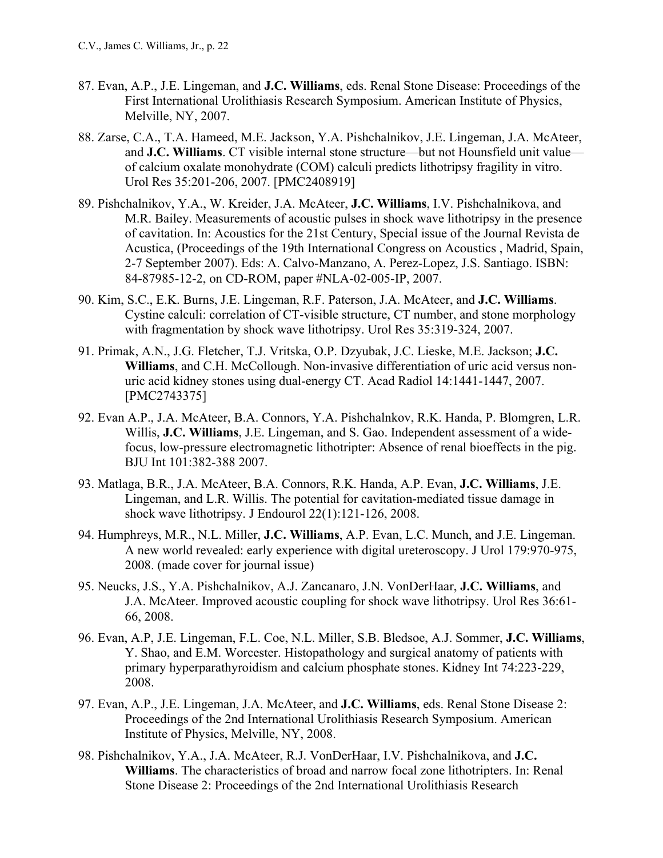- 87. Evan, A.P., J.E. Lingeman, and **J.C. Williams**, eds. Renal Stone Disease: Proceedings of the First International Urolithiasis Research Symposium. American Institute of Physics, Melville, NY, 2007.
- 88. Zarse, C.A., T.A. Hameed, M.E. Jackson, Y.A. Pishchalnikov, J.E. Lingeman, J.A. McAteer, and **J.C. Williams**. CT visible internal stone structure—but not Hounsfield unit value of calcium oxalate monohydrate (COM) calculi predicts lithotripsy fragility in vitro. Urol Res 35:201-206, 2007. [PMC2408919]
- 89. Pishchalnikov, Y.A., W. Kreider, J.A. McAteer, **J.C. Williams**, I.V. Pishchalnikova, and M.R. Bailey. Measurements of acoustic pulses in shock wave lithotripsy in the presence of cavitation. In: Acoustics for the 21st Century, Special issue of the Journal Revista de Acustica, (Proceedings of the 19th International Congress on Acoustics , Madrid, Spain, 2-7 September 2007). Eds: A. Calvo-Manzano, A. Perez-Lopez, J.S. Santiago. ISBN: 84-87985-12-2, on CD-ROM, paper #NLA-02-005-IP, 2007.
- 90. Kim, S.C., E.K. Burns, J.E. Lingeman, R.F. Paterson, J.A. McAteer, and **J.C. Williams**. Cystine calculi: correlation of CT-visible structure, CT number, and stone morphology with fragmentation by shock wave lithotripsy. Urol Res 35:319-324, 2007.
- 91. Primak, A.N., J.G. Fletcher, T.J. Vritska, O.P. Dzyubak, J.C. Lieske, M.E. Jackson; **J.C. Williams**, and C.H. McCollough. Non-invasive differentiation of uric acid versus nonuric acid kidney stones using dual-energy CT. Acad Radiol 14:1441-1447, 2007. [PMC2743375]
- 92. Evan A.P., J.A. McAteer, B.A. Connors, Y.A. Pishchalnkov, R.K. Handa, P. Blomgren, L.R. Willis, **J.C. Williams**, J.E. Lingeman, and S. Gao. Independent assessment of a widefocus, low-pressure electromagnetic lithotripter: Absence of renal bioeffects in the pig. BJU Int 101:382-388 2007.
- 93. Matlaga, B.R., J.A. McAteer, B.A. Connors, R.K. Handa, A.P. Evan, **J.C. Williams**, J.E. Lingeman, and L.R. Willis. The potential for cavitation-mediated tissue damage in shock wave lithotripsy. J Endourol 22(1):121-126, 2008.
- 94. Humphreys, M.R., N.L. Miller, **J.C. Williams**, A.P. Evan, L.C. Munch, and J.E. Lingeman. A new world revealed: early experience with digital ureteroscopy. J Urol 179:970-975, 2008. (made cover for journal issue)
- 95. Neucks, J.S., Y.A. Pishchalnikov, A.J. Zancanaro, J.N. VonDerHaar, **J.C. Williams**, and J.A. McAteer. Improved acoustic coupling for shock wave lithotripsy. Urol Res 36:61- 66, 2008.
- 96. Evan, A.P, J.E. Lingeman, F.L. Coe, N.L. Miller, S.B. Bledsoe, A.J. Sommer, **J.C. Williams**, Y. Shao, and E.M. Worcester. Histopathology and surgical anatomy of patients with primary hyperparathyroidism and calcium phosphate stones. Kidney Int 74:223-229, 2008.
- 97. Evan, A.P., J.E. Lingeman, J.A. McAteer, and **J.C. Williams**, eds. Renal Stone Disease 2: Proceedings of the 2nd International Urolithiasis Research Symposium. American Institute of Physics, Melville, NY, 2008.
- 98. Pishchalnikov, Y.A., J.A. McAteer, R.J. VonDerHaar, I.V. Pishchalnikova, and **J.C. Williams**. The characteristics of broad and narrow focal zone lithotripters. In: Renal Stone Disease 2: Proceedings of the 2nd International Urolithiasis Research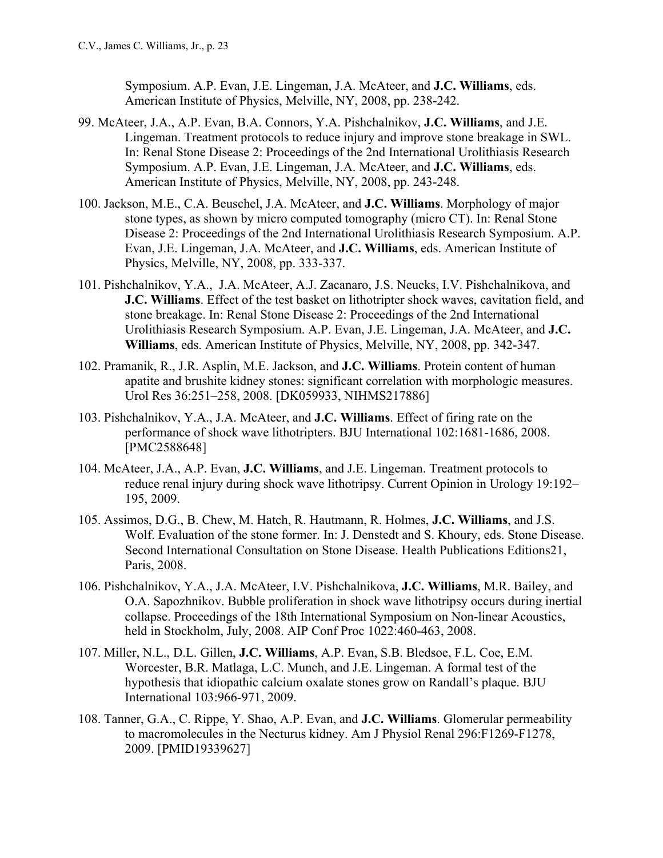Symposium. A.P. Evan, J.E. Lingeman, J.A. McAteer, and **J.C. Williams**, eds. American Institute of Physics, Melville, NY, 2008, pp. 238-242.

- 99. McAteer, J.A., A.P. Evan, B.A. Connors, Y.A. Pishchalnikov, **J.C. Williams**, and J.E. Lingeman. Treatment protocols to reduce injury and improve stone breakage in SWL. In: Renal Stone Disease 2: Proceedings of the 2nd International Urolithiasis Research Symposium. A.P. Evan, J.E. Lingeman, J.A. McAteer, and **J.C. Williams**, eds. American Institute of Physics, Melville, NY, 2008, pp. 243-248.
- 100. Jackson, M.E., C.A. Beuschel, J.A. McAteer, and **J.C. Williams**. Morphology of major stone types, as shown by micro computed tomography (micro CT). In: Renal Stone Disease 2: Proceedings of the 2nd International Urolithiasis Research Symposium. A.P. Evan, J.E. Lingeman, J.A. McAteer, and **J.C. Williams**, eds. American Institute of Physics, Melville, NY, 2008, pp. 333-337.
- 101. Pishchalnikov, Y.A., J.A. McAteer, A.J. Zacanaro, J.S. Neucks, I.V. Pishchalnikova, and **J.C. Williams**. Effect of the test basket on lithotripter shock waves, cavitation field, and stone breakage. In: Renal Stone Disease 2: Proceedings of the 2nd International Urolithiasis Research Symposium. A.P. Evan, J.E. Lingeman, J.A. McAteer, and **J.C. Williams**, eds. American Institute of Physics, Melville, NY, 2008, pp. 342-347.
- 102. Pramanik, R., J.R. Asplin, M.E. Jackson, and **J.C. Williams**. Protein content of human apatite and brushite kidney stones: significant correlation with morphologic measures. Urol Res 36:251–258, 2008. [DK059933, NIHMS217886]
- 103. Pishchalnikov, Y.A., J.A. McAteer, and **J.C. Williams**. Effect of firing rate on the performance of shock wave lithotripters. BJU International 102:1681-1686, 2008. [PMC2588648]
- 104. McAteer, J.A., A.P. Evan, **J.C. Williams**, and J.E. Lingeman. Treatment protocols to reduce renal injury during shock wave lithotripsy. Current Opinion in Urology 19:192– 195, 2009.
- 105. Assimos, D.G., B. Chew, M. Hatch, R. Hautmann, R. Holmes, **J.C. Williams**, and J.S. Wolf. Evaluation of the stone former. In: J. Denstedt and S. Khoury, eds. Stone Disease. Second International Consultation on Stone Disease. Health Publications Editions21, Paris, 2008.
- 106. Pishchalnikov, Y.A., J.A. McAteer, I.V. Pishchalnikova, **J.C. Williams**, M.R. Bailey, and O.A. Sapozhnikov. Bubble proliferation in shock wave lithotripsy occurs during inertial collapse. Proceedings of the 18th International Symposium on Non-linear Acoustics, held in Stockholm, July, 2008. AIP Conf Proc 1022:460-463, 2008.
- 107. Miller, N.L., D.L. Gillen, **J.C. Williams**, A.P. Evan, S.B. Bledsoe, F.L. Coe, E.M. Worcester, B.R. Matlaga, L.C. Munch, and J.E. Lingeman. A formal test of the hypothesis that idiopathic calcium oxalate stones grow on Randall's plaque. BJU International 103:966-971, 2009.
- 108. Tanner, G.A., C. Rippe, Y. Shao, A.P. Evan, and **J.C. Williams**. Glomerular permeability to macromolecules in the Necturus kidney. Am J Physiol Renal 296:F1269-F1278, 2009. [PMID19339627]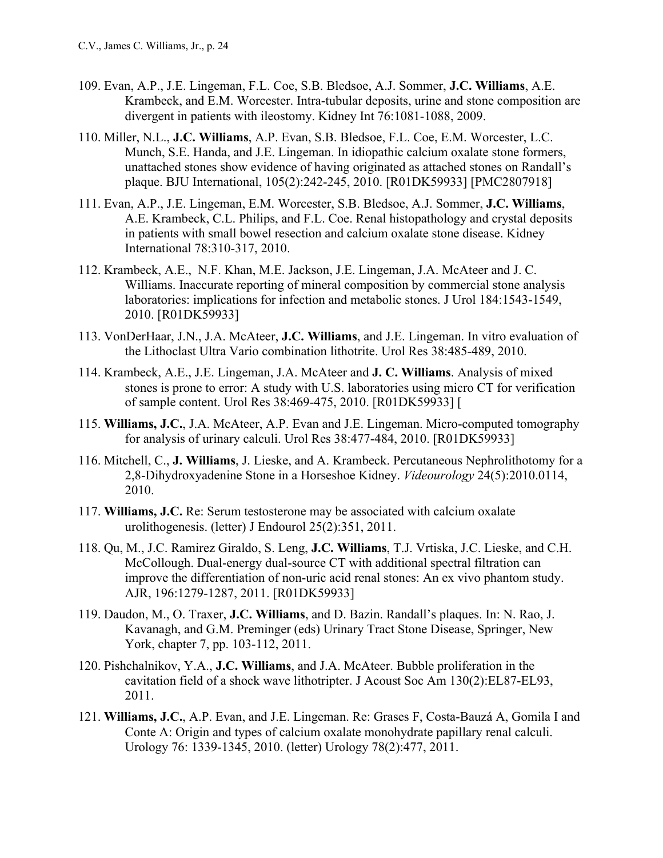- 109. Evan, A.P., J.E. Lingeman, F.L. Coe, S.B. Bledsoe, A.J. Sommer, **J.C. Williams**, A.E. Krambeck, and E.M. Worcester. Intra-tubular deposits, urine and stone composition are divergent in patients with ileostomy. Kidney Int 76:1081-1088, 2009.
- 110. Miller, N.L., **J.C. Williams**, A.P. Evan, S.B. Bledsoe, F.L. Coe, E.M. Worcester, L.C. Munch, S.E. Handa, and J.E. Lingeman. In idiopathic calcium oxalate stone formers, unattached stones show evidence of having originated as attached stones on Randall's plaque. BJU International, 105(2):242-245, 2010. [R01DK59933] [PMC2807918]
- 111. Evan, A.P., J.E. Lingeman, E.M. Worcester, S.B. Bledsoe, A.J. Sommer, **J.C. Williams**, A.E. Krambeck, C.L. Philips, and F.L. Coe. Renal histopathology and crystal deposits in patients with small bowel resection and calcium oxalate stone disease. Kidney International 78:310-317, 2010.
- 112. Krambeck, A.E., N.F. Khan, M.E. Jackson, J.E. Lingeman, J.A. McAteer and J. C. Williams. Inaccurate reporting of mineral composition by commercial stone analysis laboratories: implications for infection and metabolic stones. J Urol 184:1543-1549, 2010. [R01DK59933]
- 113. VonDerHaar, J.N., J.A. McAteer, **J.C. Williams**, and J.E. Lingeman. In vitro evaluation of the Lithoclast Ultra Vario combination lithotrite. Urol Res 38:485-489, 2010.
- 114. Krambeck, A.E., J.E. Lingeman, J.A. McAteer and **J. C. Williams**. Analysis of mixed stones is prone to error: A study with U.S. laboratories using micro CT for verification of sample content. Urol Res 38:469-475, 2010. [R01DK59933] [
- 115. **Williams, J.C.**, J.A. McAteer, A.P. Evan and J.E. Lingeman. Micro-computed tomography for analysis of urinary calculi. Urol Res 38:477-484, 2010. [R01DK59933]
- 116. Mitchell, C., **J. Williams**, J. Lieske, and A. Krambeck. Percutaneous Nephrolithotomy for a 2,8-Dihydroxyadenine Stone in a Horseshoe Kidney. *Videourology* 24(5):2010.0114, 2010.
- 117. **Williams, J.C.** Re: Serum testosterone may be associated with calcium oxalate urolithogenesis. (letter) J Endourol 25(2):351, 2011.
- 118. Qu, M., J.C. Ramirez Giraldo, S. Leng, **J.C. Williams**, T.J. Vrtiska, J.C. Lieske, and C.H. McCollough. Dual-energy dual-source CT with additional spectral filtration can improve the differentiation of non-uric acid renal stones: An ex vivo phantom study. AJR, 196:1279-1287, 2011. [R01DK59933]
- 119. Daudon, M., O. Traxer, **J.C. Williams**, and D. Bazin. Randall's plaques. In: N. Rao, J. Kavanagh, and G.M. Preminger (eds) Urinary Tract Stone Disease, Springer, New York, chapter 7, pp. 103-112, 2011.
- 120. Pishchalnikov, Y.A., **J.C. Williams**, and J.A. McAteer. Bubble proliferation in the cavitation field of a shock wave lithotripter. J Acoust Soc Am 130(2):EL87-EL93, 2011.
- 121. **Williams, J.C.**, A.P. Evan, and J.E. Lingeman. Re: Grases F, Costa-Bauzá A, Gomila I and Conte A: Origin and types of calcium oxalate monohydrate papillary renal calculi. Urology 76: 1339-1345, 2010. (letter) Urology 78(2):477, 2011.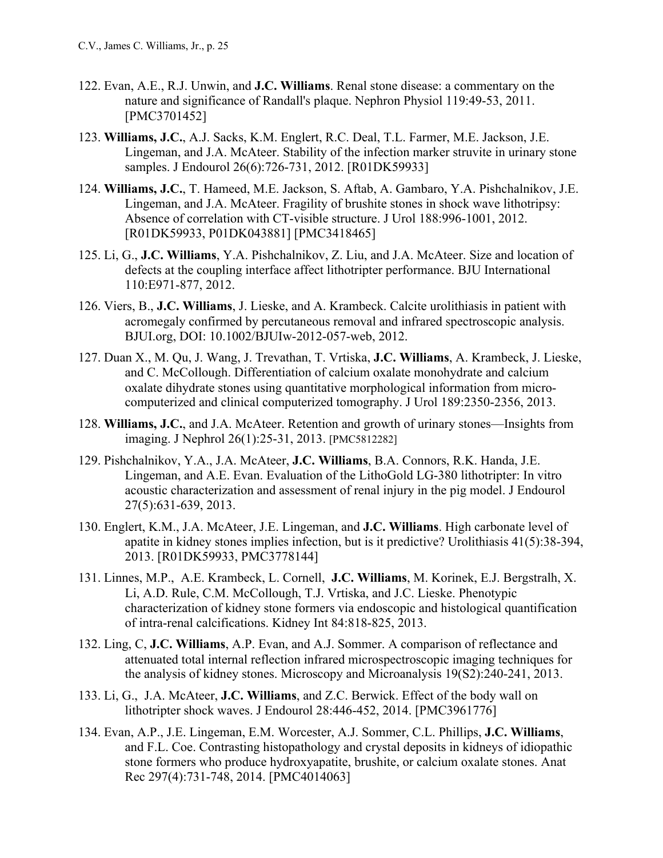- 122. Evan, A.E., R.J. Unwin, and **J.C. Williams**. Renal stone disease: a commentary on the nature and significance of Randall's plaque. Nephron Physiol 119:49-53, 2011. [PMC3701452]
- 123. **Williams, J.C.**, A.J. Sacks, K.M. Englert, R.C. Deal, T.L. Farmer, M.E. Jackson, J.E. Lingeman, and J.A. McAteer. Stability of the infection marker struvite in urinary stone samples. J Endourol 26(6):726-731, 2012. [R01DK59933]
- 124. **Williams, J.C.**, T. Hameed, M.E. Jackson, S. Aftab, A. Gambaro, Y.A. Pishchalnikov, J.E. Lingeman, and J.A. McAteer. Fragility of brushite stones in shock wave lithotripsy: Absence of correlation with CT-visible structure. J Urol 188:996-1001, 2012. [R01DK59933, P01DK043881] [PMC3418465]
- 125. Li, G., **J.C. Williams**, Y.A. Pishchalnikov, Z. Liu, and J.A. McAteer. Size and location of defects at the coupling interface affect lithotripter performance. BJU International 110:E971-877, 2012.
- 126. Viers, B., **J.C. Williams**, J. Lieske, and A. Krambeck. Calcite urolithiasis in patient with acromegaly confirmed by percutaneous removal and infrared spectroscopic analysis. BJUI.org, DOI: 10.1002/BJUIw-2012-057-web, 2012.
- 127. Duan X., M. Qu, J. Wang, J. Trevathan, T. Vrtiska, **J.C. Williams**, A. Krambeck, J. Lieske, and C. McCollough. Differentiation of calcium oxalate monohydrate and calcium oxalate dihydrate stones using quantitative morphological information from microcomputerized and clinical computerized tomography. J Urol 189:2350-2356, 2013.
- 128. **Williams, J.C.**, and J.A. McAteer. Retention and growth of urinary stones—Insights from imaging. J Nephrol 26(1):25-31, 2013. [PMC5812282]
- 129. Pishchalnikov, Y.A., J.A. McAteer, **J.C. Williams**, B.A. Connors, R.K. Handa, J.E. Lingeman, and A.E. Evan. Evaluation of the LithoGold LG-380 lithotripter: In vitro acoustic characterization and assessment of renal injury in the pig model. J Endourol 27(5):631-639, 2013.
- 130. Englert, K.M., J.A. McAteer, J.E. Lingeman, and **J.C. Williams**. High carbonate level of apatite in kidney stones implies infection, but is it predictive? Urolithiasis 41(5):38-394, 2013. [R01DK59933, PMC3778144]
- 131. Linnes, M.P., A.E. Krambeck, L. Cornell, **J.C. Williams**, M. Korinek, E.J. Bergstralh, X. Li, A.D. Rule, C.M. McCollough, T.J. Vrtiska, and J.C. Lieske. Phenotypic characterization of kidney stone formers via endoscopic and histological quantification of intra-renal calcifications. Kidney Int 84:818-825, 2013.
- 132. Ling, C, **J.C. Williams**, A.P. Evan, and A.J. Sommer. A comparison of reflectance and attenuated total internal reflection infrared microspectroscopic imaging techniques for the analysis of kidney stones. Microscopy and Microanalysis 19(S2):240-241, 2013.
- 133. Li, G., J.A. McAteer, **J.C. Williams**, and Z.C. Berwick. Effect of the body wall on lithotripter shock waves. J Endourol 28:446-452, 2014. [PMC3961776]
- 134. Evan, A.P., J.E. Lingeman, E.M. Worcester, A.J. Sommer, C.L. Phillips, **J.C. Williams**, and F.L. Coe. Contrasting histopathology and crystal deposits in kidneys of idiopathic stone formers who produce hydroxyapatite, brushite, or calcium oxalate stones. Anat Rec 297(4):731-748, 2014. [PMC4014063]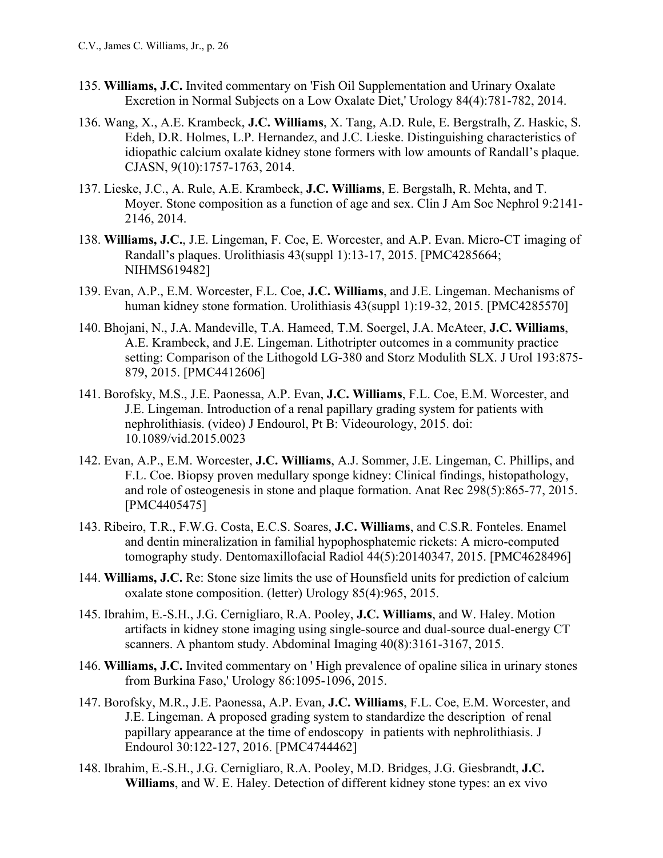- 135. **Williams, J.C.** Invited commentary on 'Fish Oil Supplementation and Urinary Oxalate Excretion in Normal Subjects on a Low Oxalate Diet,' Urology 84(4):781-782, 2014.
- 136. Wang, X., A.E. Krambeck, **J.C. Williams**, X. Tang, A.D. Rule, E. Bergstralh, Z. Haskic, S. Edeh, D.R. Holmes, L.P. Hernandez, and J.C. Lieske. Distinguishing characteristics of idiopathic calcium oxalate kidney stone formers with low amounts of Randall's plaque. CJASN, 9(10):1757-1763, 2014.
- 137. Lieske, J.C., A. Rule, A.E. Krambeck, **J.C. Williams**, E. Bergstalh, R. Mehta, and T. Moyer. Stone composition as a function of age and sex. Clin J Am Soc Nephrol 9:2141- 2146, 2014.
- 138. **Williams, J.C.**, J.E. Lingeman, F. Coe, E. Worcester, and A.P. Evan. Micro-CT imaging of Randall's plaques. Urolithiasis 43(suppl 1):13-17, 2015. [PMC4285664; NIHMS619482]
- 139. Evan, A.P., E.M. Worcester, F.L. Coe, **J.C. Williams**, and J.E. Lingeman. Mechanisms of human kidney stone formation. Urolithiasis 43(suppl 1):19-32, 2015. [PMC4285570]
- 140. Bhojani, N., J.A. Mandeville, T.A. Hameed, T.M. Soergel, J.A. McAteer, **J.C. Williams**, A.E. Krambeck, and J.E. Lingeman. Lithotripter outcomes in a community practice setting: Comparison of the Lithogold LG-380 and Storz Modulith SLX. J Urol 193:875- 879, 2015. [PMC4412606]
- 141. Borofsky, M.S., J.E. Paonessa, A.P. Evan, **J.C. Williams**, F.L. Coe, E.M. Worcester, and J.E. Lingeman. Introduction of a renal papillary grading system for patients with nephrolithiasis. (video) J Endourol, Pt B: Videourology, 2015. doi: 10.1089/vid.2015.0023
- 142. Evan, A.P., E.M. Worcester, **J.C. Williams**, A.J. Sommer, J.E. Lingeman, C. Phillips, and F.L. Coe. Biopsy proven medullary sponge kidney: Clinical findings, histopathology, and role of osteogenesis in stone and plaque formation. Anat Rec 298(5):865-77, 2015. [PMC4405475]
- 143. Ribeiro, T.R., F.W.G. Costa, E.C.S. Soares, **J.C. Williams**, and C.S.R. Fonteles. Enamel and dentin mineralization in familial hypophosphatemic rickets: A micro-computed tomography study. Dentomaxillofacial Radiol 44(5):20140347, 2015. [PMC4628496]
- 144. **Williams, J.C.** Re: Stone size limits the use of Hounsfield units for prediction of calcium oxalate stone composition. (letter) Urology 85(4):965, 2015.
- 145. Ibrahim, E.-S.H., J.G. Cernigliaro, R.A. Pooley, **J.C. Williams**, and W. Haley. Motion artifacts in kidney stone imaging using single-source and dual-source dual-energy CT scanners. A phantom study. Abdominal Imaging 40(8):3161-3167, 2015.
- 146. **Williams, J.C.** Invited commentary on ' High prevalence of opaline silica in urinary stones from Burkina Faso,' Urology 86:1095-1096, 2015.
- 147. Borofsky, M.R., J.E. Paonessa, A.P. Evan, **J.C. Williams**, F.L. Coe, E.M. Worcester, and J.E. Lingeman. A proposed grading system to standardize the description of renal papillary appearance at the time of endoscopy in patients with nephrolithiasis. J Endourol 30:122-127, 2016. [PMC4744462]
- 148. Ibrahim, E.-S.H., J.G. Cernigliaro, R.A. Pooley, M.D. Bridges, J.G. Giesbrandt, **J.C. Williams**, and W. E. Haley. Detection of different kidney stone types: an ex vivo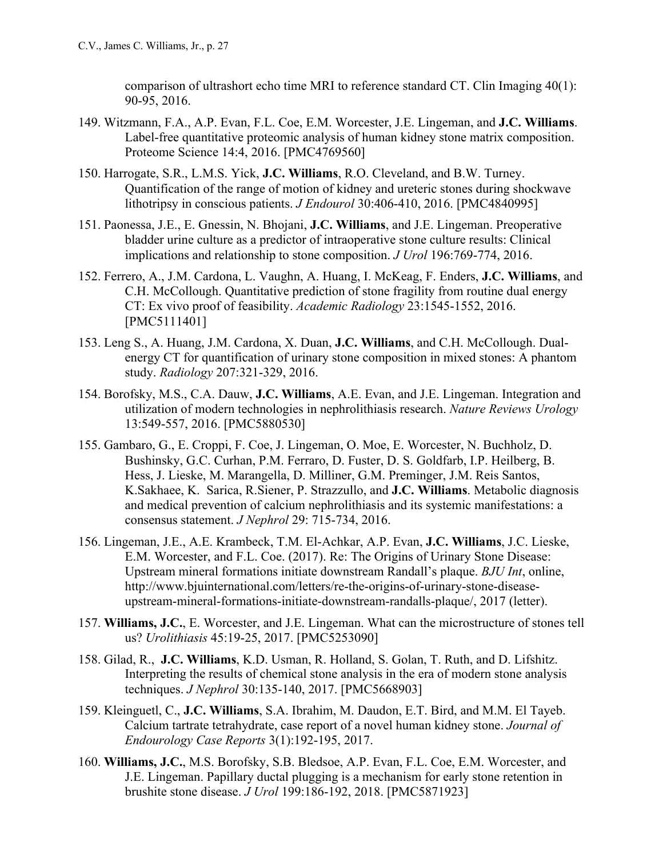comparison of ultrashort echo time MRI to reference standard CT. Clin Imaging 40(1): 90-95, 2016.

- 149. Witzmann, F.A., A.P. Evan, F.L. Coe, E.M. Worcester, J.E. Lingeman, and **J.C. Williams**. Label-free quantitative proteomic analysis of human kidney stone matrix composition. Proteome Science 14:4, 2016. [PMC4769560]
- 150. Harrogate, S.R., L.M.S. Yick, **J.C. Williams**, R.O. Cleveland, and B.W. Turney. Quantification of the range of motion of kidney and ureteric stones during shockwave lithotripsy in conscious patients. *J Endourol* 30:406-410, 2016. [PMC4840995]
- 151. Paonessa, J.E., E. Gnessin, N. Bhojani, **J.C. Williams**, and J.E. Lingeman. Preoperative bladder urine culture as a predictor of intraoperative stone culture results: Clinical implications and relationship to stone composition. *J Urol* 196:769-774, 2016.
- 152. Ferrero, A., J.M. Cardona, L. Vaughn, A. Huang, I. McKeag, F. Enders, **J.C. Williams**, and C.H. McCollough. Quantitative prediction of stone fragility from routine dual energy CT: Ex vivo proof of feasibility. *Academic Radiology* 23:1545-1552, 2016. [PMC5111401]
- 153. Leng S., A. Huang, J.M. Cardona, X. Duan, **J.C. Williams**, and C.H. McCollough. Dualenergy CT for quantification of urinary stone composition in mixed stones: A phantom study. *Radiology* 207:321-329, 2016.
- 154. Borofsky, M.S., C.A. Dauw, **J.C. Williams**, A.E. Evan, and J.E. Lingeman. Integration and utilization of modern technologies in nephrolithiasis research. *Nature Reviews Urology* 13:549-557, 2016. [PMC5880530]
- 155. Gambaro, G., E. Croppi, F. Coe, J. Lingeman, O. Moe, E. Worcester, N. Buchholz, D. Bushinsky, G.C. Curhan, P.M. Ferraro, D. Fuster, D. S. Goldfarb, I.P. Heilberg, B. Hess, J. Lieske, M. Marangella, D. Milliner, G.M. Preminger, J.M. Reis Santos, K.Sakhaee, K. Sarica, R.Siener, P. Strazzullo, and **J.C. Williams**. Metabolic diagnosis and medical prevention of calcium nephrolithiasis and its systemic manifestations: a consensus statement. *J Nephrol* 29: 715-734, 2016.
- 156. Lingeman, J.E., A.E. Krambeck, T.M. El-Achkar, A.P. Evan, **J.C. Williams**, J.C. Lieske, E.M. Worcester, and F.L. Coe. (2017). Re: The Origins of Urinary Stone Disease: Upstream mineral formations initiate downstream Randall's plaque. *BJU Int*, online, http://www.bjuinternational.com/letters/re-the-origins-of-urinary-stone-diseaseupstream-mineral-formations-initiate-downstream-randalls-plaque/, 2017 (letter).
- 157. **Williams, J.C.**, E. Worcester, and J.E. Lingeman. What can the microstructure of stones tell us? *Urolithiasis* 45:19-25, 2017. [PMC5253090]
- 158. Gilad, R., **J.C. Williams**, K.D. Usman, R. Holland, S. Golan, T. Ruth, and D. Lifshitz. Interpreting the results of chemical stone analysis in the era of modern stone analysis techniques. *J Nephrol* 30:135-140, 2017. [PMC5668903]
- 159. Kleinguetl, C., **J.C. Williams**, S.A. Ibrahim, M. Daudon, E.T. Bird, and M.M. El Tayeb. Calcium tartrate tetrahydrate, case report of a novel human kidney stone. *Journal of Endourology Case Reports* 3(1):192-195, 2017.
- 160. **Williams, J.C.**, M.S. Borofsky, S.B. Bledsoe, A.P. Evan, F.L. Coe, E.M. Worcester, and J.E. Lingeman. Papillary ductal plugging is a mechanism for early stone retention in brushite stone disease. *J Urol* 199:186-192, 2018. [PMC5871923]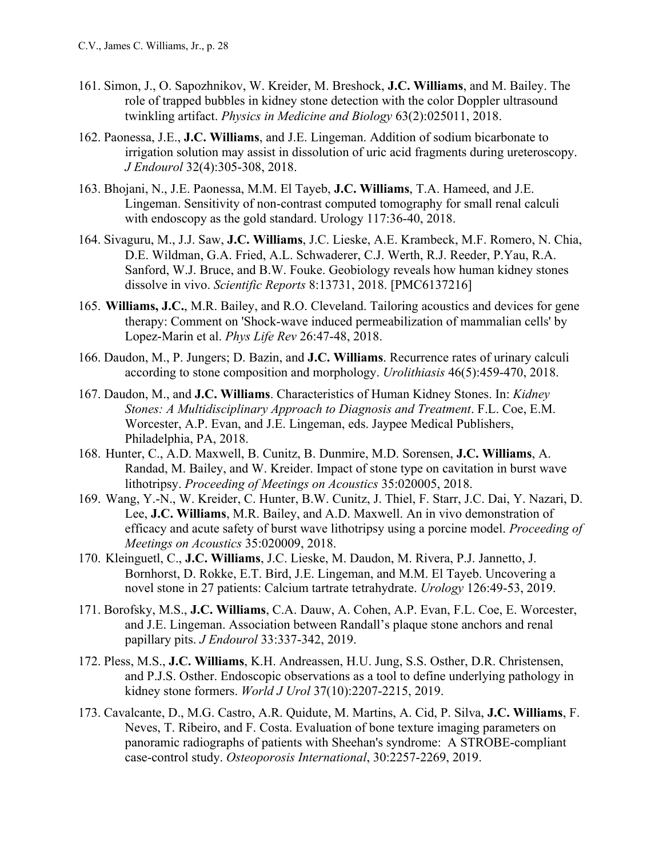- 161. Simon, J., O. Sapozhnikov, W. Kreider, M. Breshock, **J.C. Williams**, and M. Bailey. The role of trapped bubbles in kidney stone detection with the color Doppler ultrasound twinkling artifact. *Physics in Medicine and Biology* 63(2):025011, 2018.
- 162. Paonessa, J.E., **J.C. Williams**, and J.E. Lingeman. Addition of sodium bicarbonate to irrigation solution may assist in dissolution of uric acid fragments during ureteroscopy. *J Endourol* 32(4):305-308, 2018.
- 163. Bhojani, N., J.E. Paonessa, M.M. El Tayeb, **J.C. Williams**, T.A. Hameed, and J.E. Lingeman. Sensitivity of non-contrast computed tomography for small renal calculi with endoscopy as the gold standard. Urology 117:36-40, 2018.
- 164. Sivaguru, M., J.J. Saw, **J.C. Williams**, J.C. Lieske, A.E. Krambeck, M.F. Romero, N. Chia, D.E. Wildman, G.A. Fried, A.L. Schwaderer, C.J. Werth, R.J. Reeder, P.Yau, R.A. Sanford, W.J. Bruce, and B.W. Fouke. Geobiology reveals how human kidney stones dissolve in vivo. *Scientific Reports* 8:13731, 2018. [PMC6137216]
- 165. **Williams, J.C.**, M.R. Bailey, and R.O. Cleveland. Tailoring acoustics and devices for gene therapy: Comment on 'Shock-wave induced permeabilization of mammalian cells' by Lopez-Marin et al. *Phys Life Rev* 26:47-48, 2018.
- 166. Daudon, M., P. Jungers; D. Bazin, and **J.C. Williams**. Recurrence rates of urinary calculi according to stone composition and morphology. *Urolithiasis* 46(5):459-470, 2018.
- 167. Daudon, M., and **J.C. Williams**. Characteristics of Human Kidney Stones. In: *Kidney Stones: A Multidisciplinary Approach to Diagnosis and Treatment*. F.L. Coe, E.M. Worcester, A.P. Evan, and J.E. Lingeman, eds. Jaypee Medical Publishers, Philadelphia, PA, 2018.
- 168. Hunter, C., A.D. Maxwell, B. Cunitz, B. Dunmire, M.D. Sorensen, **J.C. Williams**, A. Randad, M. Bailey, and W. Kreider. Impact of stone type on cavitation in burst wave lithotripsy. *Proceeding of Meetings on Acoustics* 35:020005, 2018.
- 169. Wang, Y.-N., W. Kreider, C. Hunter, B.W. Cunitz, J. Thiel, F. Starr, J.C. Dai, Y. Nazari, D. Lee, **J.C. Williams**, M.R. Bailey, and A.D. Maxwell. An in vivo demonstration of efficacy and acute safety of burst wave lithotripsy using a porcine model. *Proceeding of Meetings on Acoustics* 35:020009, 2018.
- 170. Kleinguetl, C., **J.C. Williams**, J.C. Lieske, M. Daudon, M. Rivera, P.J. Jannetto, J. Bornhorst, D. Rokke, E.T. Bird, J.E. Lingeman, and M.M. El Tayeb. Uncovering a novel stone in 27 patients: Calcium tartrate tetrahydrate. *Urology* 126:49-53, 2019.
- 171. Borofsky, M.S., **J.C. Williams**, C.A. Dauw, A. Cohen, A.P. Evan, F.L. Coe, E. Worcester, and J.E. Lingeman. Association between Randall's plaque stone anchors and renal papillary pits. *J Endourol* 33:337-342, 2019.
- 172. Pless, M.S., **J.C. Williams**, K.H. Andreassen, H.U. Jung, S.S. Osther, D.R. Christensen, and P.J.S. Osther. Endoscopic observations as a tool to define underlying pathology in kidney stone formers. *World J Urol* 37(10):2207-2215, 2019.
- 173. Cavalcante, D., M.G. Castro, A.R. Quidute, M. Martins, A. Cid, P. Silva, **J.C. Williams**, F. Neves, T. Ribeiro, and F. Costa. Evaluation of bone texture imaging parameters on panoramic radiographs of patients with Sheehan's syndrome: A STROBE-compliant case-control study. *Osteoporosis International*, 30:2257-2269, 2019.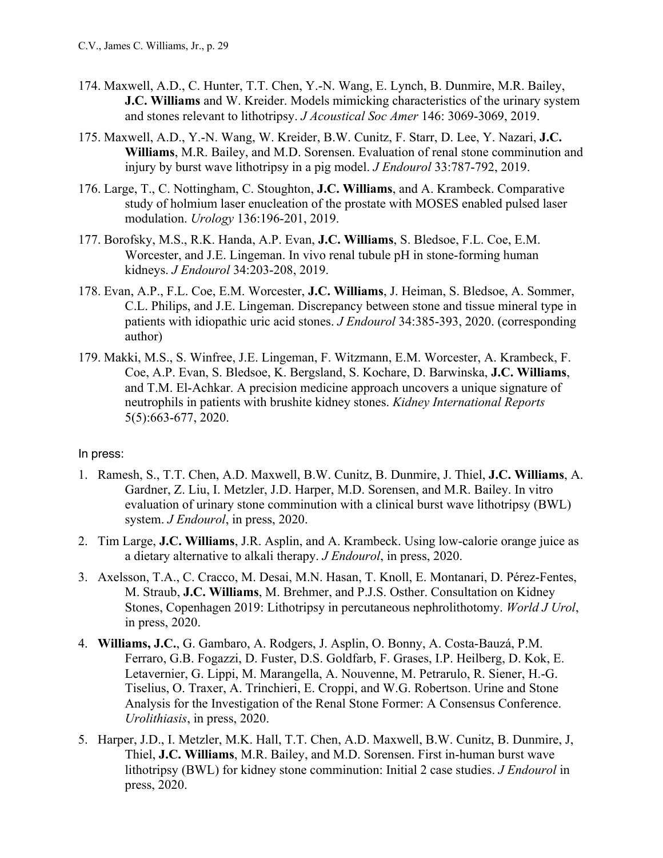- 174. Maxwell, A.D., C. Hunter, T.T. Chen, Y.-N. Wang, E. Lynch, B. Dunmire, M.R. Bailey, **J.C. Williams** and W. Kreider. Models mimicking characteristics of the urinary system and stones relevant to lithotripsy. *J Acoustical Soc Amer* 146: 3069-3069, 2019.
- 175. Maxwell, A.D., Y.-N. Wang, W. Kreider, B.W. Cunitz, F. Starr, D. Lee, Y. Nazari, **J.C. Williams**, M.R. Bailey, and M.D. Sorensen. Evaluation of renal stone comminution and injury by burst wave lithotripsy in a pig model. *J Endourol* 33:787-792, 2019.
- 176. Large, T., C. Nottingham, C. Stoughton, **J.C. Williams**, and A. Krambeck. Comparative study of holmium laser enucleation of the prostate with MOSES enabled pulsed laser modulation. *Urology* 136:196-201, 2019.
- 177. Borofsky, M.S., R.K. Handa, A.P. Evan, **J.C. Williams**, S. Bledsoe, F.L. Coe, E.M. Worcester, and J.E. Lingeman. In vivo renal tubule pH in stone-forming human kidneys. *J Endourol* 34:203-208, 2019.
- 178. Evan, A.P., F.L. Coe, E.M. Worcester, **J.C. Williams**, J. Heiman, S. Bledsoe, A. Sommer, C.L. Philips, and J.E. Lingeman. Discrepancy between stone and tissue mineral type in patients with idiopathic uric acid stones. *J Endourol* 34:385-393, 2020. (corresponding author)
- 179. Makki, M.S., S. Winfree, J.E. Lingeman, F. Witzmann, E.M. Worcester, A. Krambeck, F. Coe, A.P. Evan, S. Bledsoe, K. Bergsland, S. Kochare, D. Barwinska, **J.C. Williams**, and T.M. El-Achkar. A precision medicine approach uncovers a unique signature of neutrophils in patients with brushite kidney stones. *Kidney International Reports* 5(5):663-677, 2020.

### In press:

- 1. Ramesh, S., T.T. Chen, A.D. Maxwell, B.W. Cunitz, B. Dunmire, J. Thiel, **J.C. Williams**, A. Gardner, Z. Liu, I. Metzler, J.D. Harper, M.D. Sorensen, and M.R. Bailey. In vitro evaluation of urinary stone comminution with a clinical burst wave lithotripsy (BWL) system. *J Endourol*, in press, 2020.
- 2. Tim Large, **J.C. Williams**, J.R. Asplin, and A. Krambeck. Using low-calorie orange juice as a dietary alternative to alkali therapy. *J Endourol*, in press, 2020.
- 3. Axelsson, T.A., C. Cracco, M. Desai, M.N. Hasan, T. Knoll, E. Montanari, D. Pérez-Fentes, M. Straub, **J.C. Williams**, M. Brehmer, and P.J.S. Osther. Consultation on Kidney Stones, Copenhagen 2019: Lithotripsy in percutaneous nephrolithotomy. *World J Urol*, in press, 2020.
- 4. **Williams, J.C.**, G. Gambaro, A. Rodgers, J. Asplin, O. Bonny, A. Costa-Bauzá, P.M. Ferraro, G.B. Fogazzi, D. Fuster, D.S. Goldfarb, F. Grases, I.P. Heilberg, D. Kok, E. Letavernier, G. Lippi, M. Marangella, A. Nouvenne, M. Petrarulo, R. Siener, H.-G. Tiselius, O. Traxer, A. Trinchieri, E. Croppi, and W.G. Robertson. Urine and Stone Analysis for the Investigation of the Renal Stone Former: A Consensus Conference. *Urolithiasis*, in press, 2020.
- 5. Harper, J.D., I. Metzler, M.K. Hall, T.T. Chen, A.D. Maxwell, B.W. Cunitz, B. Dunmire, J, Thiel, **J.C. Williams**, M.R. Bailey, and M.D. Sorensen. First in-human burst wave lithotripsy (BWL) for kidney stone comminution: Initial 2 case studies. *J Endourol* in press, 2020.